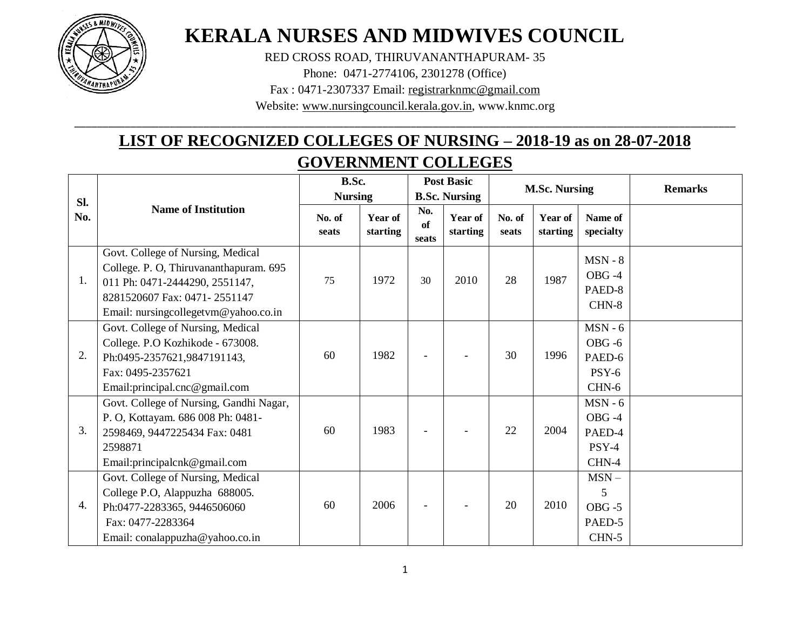

# **KERALA NURSES AND MIDWIVES COUNCIL**

RED CROSS ROAD, THIRUVANANTHAPURAM- 35

Phone: 0471-2774106, 2301278 (Office)

Fax : 0471-2307337 Email: [registrarknmc@gmail.com](mailto:registrarknmc@gmail.com)

Website: [www.nursingcouncil.kerala.gov.in,](http://www.keralanursingcouncil.org/) www.knmc.org \_\_\_\_\_\_\_\_\_\_\_\_\_\_\_\_\_\_\_\_\_\_\_\_\_\_\_\_\_\_\_\_\_\_\_\_\_\_\_\_\_\_\_\_\_\_\_\_\_\_\_\_\_\_\_\_\_\_\_\_\_\_\_\_\_\_\_\_\_\_\_\_\_\_\_\_\_\_\_\_\_\_\_\_\_\_\_\_\_\_\_\_\_\_\_\_\_\_\_\_\_\_\_\_\_\_\_\_\_\_\_\_\_\_\_\_\_\_

## **LIST OF RECOGNIZED COLLEGES OF NURSING – 2018-19 as on 28-07-2018 GOVERNMENT COLLEGES**

| Sl. |                                                                                                                                                                                       | B.Sc.<br><b>Nursing</b> |                     |                    | <b>Post Basic</b><br><b>B.Sc. Nursing</b> |                 | <b>M.Sc. Nursing</b> |                                                      | <b>Remarks</b> |
|-----|---------------------------------------------------------------------------------------------------------------------------------------------------------------------------------------|-------------------------|---------------------|--------------------|-------------------------------------------|-----------------|----------------------|------------------------------------------------------|----------------|
| No. | <b>Name of Institution</b>                                                                                                                                                            | No. of<br>seats         | Year of<br>starting | No.<br>of<br>seats | Year of<br>starting                       | No. of<br>seats | Year of<br>starting  | Name of<br>specialty                                 |                |
| 1.  | Govt. College of Nursing, Medical<br>College. P. O, Thiruvananthapuram. 695<br>011 Ph: 0471-2444290, 2551147,<br>8281520607 Fax: 0471-2551147<br>Email: nursingcollegetvm@yahoo.co.in | 75                      | 1972                | 30                 | 2010                                      | 28              | 1987                 | $MSN - 8$<br>OBG-4<br>PAED-8<br>CHN-8                |                |
| 2.  | Govt. College of Nursing, Medical<br>College. P.O Kozhikode - 673008.<br>Ph:0495-2357621,9847191143,<br>Fax: 0495-2357621<br>Email: principal.cnc@gmail.com                           | 60                      | 1982                |                    |                                           | 30              | 1996                 | $MSN - 6$<br>$OBG - 6$<br>PAED-6<br>$PSY-6$<br>CHN-6 |                |
| 3.  | Govt. College of Nursing, Gandhi Nagar,<br>P. O, Kottayam. 686 008 Ph: 0481-<br>2598469, 9447225434 Fax: 0481<br>2598871<br>Email: principalcnk@gmail.com                             | 60                      | 1983                |                    |                                           | 22              | 2004                 | $MSN - 6$<br>OBG-4<br>PAED-4<br>PSY-4<br>CHN-4       |                |
| 4.  | Govt. College of Nursing, Medical<br>College P.O, Alappuzha 688005.<br>Ph:0477-2283365, 9446506060<br>Fax: 0477-2283364<br>Email: conalappuzha@yahoo.co.in                            | 60                      | 2006                |                    |                                           | 20              | 2010                 | $MSN -$<br>5<br>$OBG - 5$<br>PAED-5<br>$CHN-5$       |                |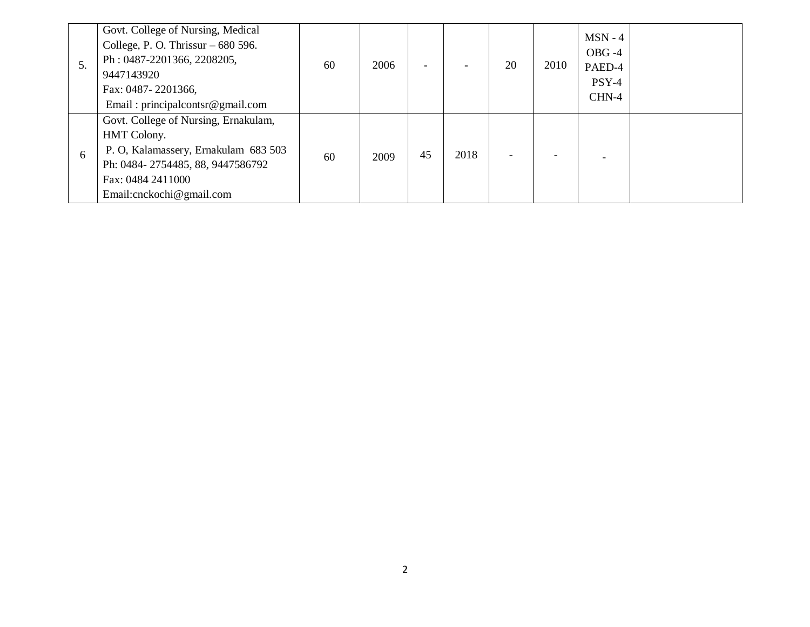| 5. | Govt. College of Nursing, Medical<br>College, P. O. Thrissur $-680$ 596.<br>Ph: 0487-2201366, 2208205,<br>9447143920<br>Fax: 0487-2201366,<br>Email: principalcontsr@gmail.com    | 60 | 2006 |    |      | 20 | 2010 | $MSN - 4$<br>$OBG -4$<br>PAED-4<br>$PSY-4$<br>CHN-4 |  |
|----|-----------------------------------------------------------------------------------------------------------------------------------------------------------------------------------|----|------|----|------|----|------|-----------------------------------------------------|--|
| 6  | Govt. College of Nursing, Ernakulam,<br>HMT Colony.<br>P. O, Kalamassery, Ernakulam 683 503<br>Ph: 0484-2754485, 88, 9447586792<br>Fax: 0484 2411000<br>Email: cnckochi@gmail.com | 60 | 2009 | 45 | 2018 |    |      |                                                     |  |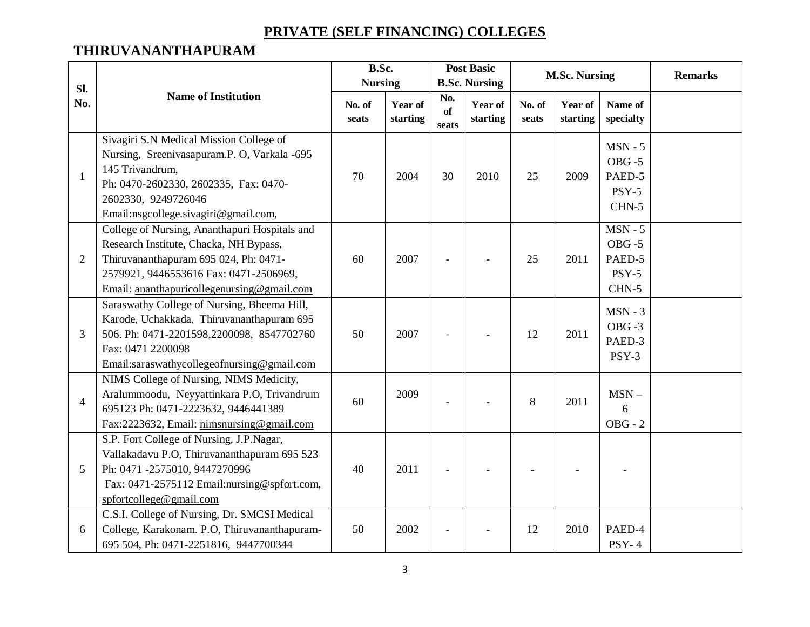## **PRIVATE (SELF FINANCING) COLLEGES**

### **THIRUVANANTHAPURAM**

| Sl.            |                                                                                                                                                                                                                          | B.Sc.<br><b>Nursing</b> |                     |                    | <b>Post Basic</b><br><b>B.Sc. Nursing</b> |                 | <b>M.Sc. Nursing</b> |                                                        | <b>Remarks</b> |
|----------------|--------------------------------------------------------------------------------------------------------------------------------------------------------------------------------------------------------------------------|-------------------------|---------------------|--------------------|-------------------------------------------|-----------------|----------------------|--------------------------------------------------------|----------------|
| No.            | <b>Name of Institution</b>                                                                                                                                                                                               | No. of<br>seats         | Year of<br>starting | No.<br>of<br>seats | Year of<br>starting                       | No. of<br>seats | Year of<br>starting  | Name of<br>specialty                                   |                |
| $\mathbf{1}$   | Sivagiri S.N Medical Mission College of<br>Nursing, Sreenivasapuram.P. O, Varkala -695<br>145 Trivandrum,<br>Ph: 0470-2602330, 2602335, Fax: 0470-<br>2602330, 9249726046<br>Email:nsgcollege.sivagiri@gmail.com,        | 70                      | 2004                | 30                 | 2010                                      | 25              | 2009                 | $MSN - 5$<br>$OBG - 5$<br>PAED-5<br>$PSY-5$<br>$CHN-5$ |                |
| $\overline{2}$ | College of Nursing, Ananthapuri Hospitals and<br>Research Institute, Chacka, NH Bypass,<br>Thiruvananthapuram 695 024, Ph: 0471-<br>2579921, 9446553616 Fax: 0471-2506969,<br>Email: ananthapuricollegenursing@gmail.com | 60                      | 2007                |                    |                                           | 25              | 2011                 | $MSN - 5$<br>$OBG - 5$<br>PAED-5<br>$PSY-5$<br>$CHN-5$ |                |
| 3              | Saraswathy College of Nursing, Bheema Hill,<br>Karode, Uchakkada, Thiruvananthapuram 695<br>506. Ph: 0471-2201598,2200098, 8547702760<br>Fax: 0471 2200098<br>Email:saraswathycollegeofnursing@gmail.com                 | 50                      | 2007                |                    |                                           | 12              | 2011                 | $MSN - 3$<br>$OBG - 3$<br>PAED-3<br>PSY-3              |                |
| $\overline{4}$ | NIMS College of Nursing, NIMS Medicity,<br>Aralummoodu, Neyyattinkara P.O, Trivandrum<br>695123 Ph: 0471-2223632, 9446441389<br>Fax:2223632, Email: nimsnursing@gmail.com                                                | 60                      | 2009                |                    |                                           | 8               | 2011                 | $MSN -$<br>6<br>$OBG - 2$                              |                |
| 5              | S.P. Fort College of Nursing, J.P.Nagar,<br>Vallakadavu P.O, Thiruvananthapuram 695 523<br>Ph: 0471 -2575010, 9447270996<br>Fax: 0471-2575112 Email:nursing@spfort.com,<br>spfortcollege@gmail.com                       | 40                      | 2011                |                    |                                           |                 |                      |                                                        |                |
| 6              | C.S.I. College of Nursing, Dr. SMCSI Medical<br>College, Karakonam. P.O, Thiruvananthapuram-<br>695 504, Ph: 0471-2251816, 9447700344                                                                                    | 50                      | 2002                |                    |                                           | 12              | 2010                 | PAED-4<br><b>PSY-4</b>                                 |                |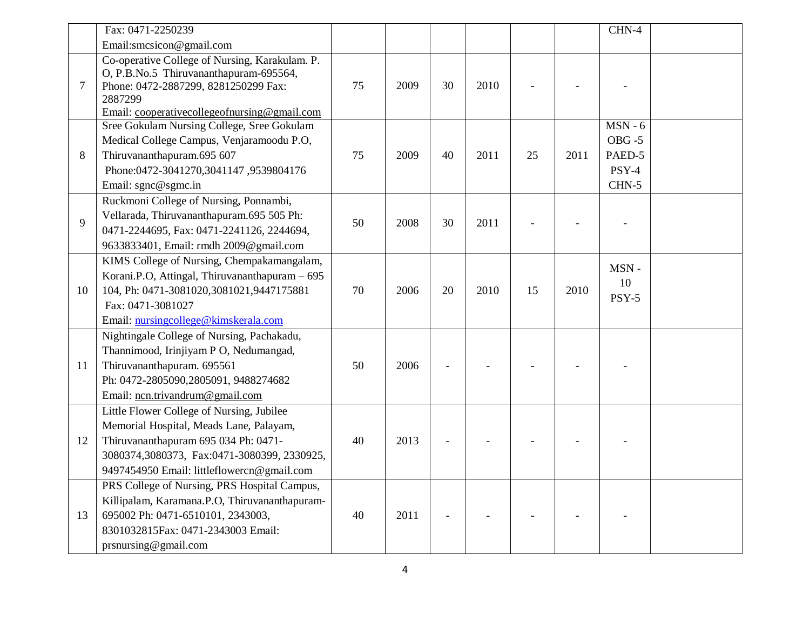|             | Fax: 0471-2250239                                                                                                                                                                                                         |    |      |    |      |    |      | $CHN-4$                                              |  |
|-------------|---------------------------------------------------------------------------------------------------------------------------------------------------------------------------------------------------------------------------|----|------|----|------|----|------|------------------------------------------------------|--|
|             | Email:smcsicon@gmail.com                                                                                                                                                                                                  |    |      |    |      |    |      |                                                      |  |
| $\tau$      | Co-operative College of Nursing, Karakulam. P.<br>O, P.B.No.5 Thiruvananthapuram-695564,<br>Phone: 0472-2887299, 8281250299 Fax:<br>2887299<br>Email: cooperativecollegeofnursing@gmail.com                               | 75 | 2009 | 30 | 2010 |    |      |                                                      |  |
| 8           | Sree Gokulam Nursing College, Sree Gokulam<br>Medical College Campus, Venjaramoodu P.O,<br>Thiruvananthapuram.695 607<br>Phone:0472-3041270,3041147,9539804176<br>Email: sgnc@sgmc.in                                     | 75 | 2009 | 40 | 2011 | 25 | 2011 | $MSN - 6$<br>$OBG - 5$<br>PAED-5<br>PSY-4<br>$CHN-5$ |  |
| $\mathbf Q$ | Ruckmoni College of Nursing, Ponnambi,<br>Vellarada, Thiruvananthapuram.695 505 Ph:<br>0471-2244695, Fax: 0471-2241126, 2244694,<br>9633833401, Email: rmdh 2009@gmail.com                                                | 50 | 2008 | 30 | 2011 |    |      |                                                      |  |
| 10          | KIMS College of Nursing, Chempakamangalam,<br>Korani.P.O, Attingal, Thiruvananthapuram - 695<br>104, Ph: 0471-3081020,3081021,9447175881<br>Fax: 0471-3081027<br>Email: nursingcollege@kimskerala.com                     | 70 | 2006 | 20 | 2010 | 15 | 2010 | MSN-<br>10<br>PSY-5                                  |  |
| 11          | Nightingale College of Nursing, Pachakadu,<br>Thannimood, Irinjiyam P O, Nedumangad,<br>Thiruvananthapuram. 695561<br>Ph: 0472-2805090,2805091, 9488274682<br>Email: ncn.trivandrum@gmail.com                             | 50 | 2006 |    |      |    |      |                                                      |  |
| 12          | Little Flower College of Nursing, Jubilee<br>Memorial Hospital, Meads Lane, Palayam,<br>Thiruvananthapuram 695 034 Ph: 0471-<br>3080374,3080373, Fax:0471-3080399, 2330925,<br>9497454950 Email: littleflowercn@gmail.com | 40 | 2013 |    |      |    |      |                                                      |  |
| 13          | PRS College of Nursing, PRS Hospital Campus,<br>Killipalam, Karamana.P.O, Thiruvananthapuram-<br>695002 Ph: 0471-6510101, 2343003,<br>8301032815Fax: 0471-2343003 Email:<br>prsnursing@gmail.com                          | 40 | 2011 |    |      |    |      |                                                      |  |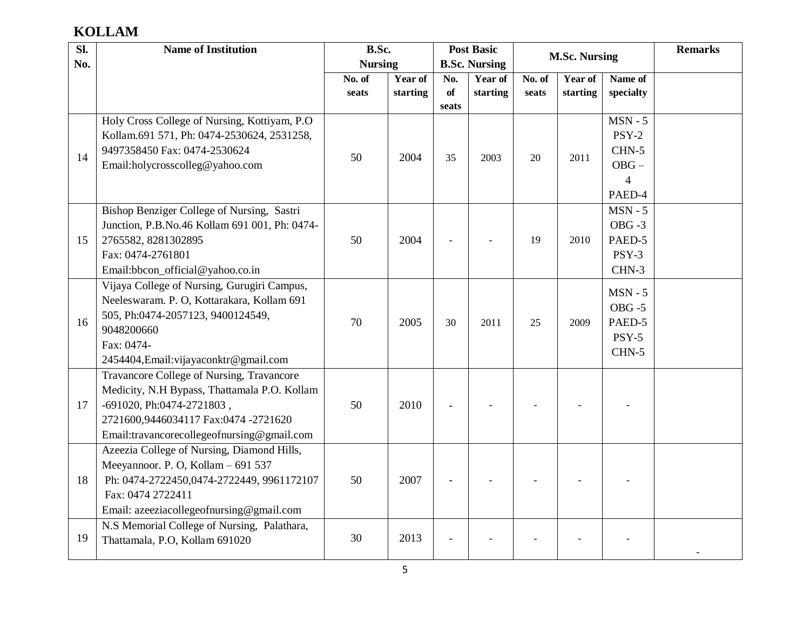## **KOLLAM**

| SI. | <b>Name of Institution</b>                                                          | B.Sc.          |          |       | <b>Post Basic</b>    |        | <b>M.Sc. Nursing</b> |                     | <b>Remarks</b> |
|-----|-------------------------------------------------------------------------------------|----------------|----------|-------|----------------------|--------|----------------------|---------------------|----------------|
| No. |                                                                                     | <b>Nursing</b> |          |       | <b>B.Sc. Nursing</b> |        |                      |                     |                |
|     |                                                                                     | No. of         | Year of  | No.   | Year of              | No. of | Year of              | Name of             |                |
|     |                                                                                     | seats          | starting | of    | starting             | seats  | starting             | specialty           |                |
|     |                                                                                     |                |          | seats |                      |        |                      | $MSN - 5$           |                |
|     | Holy Cross College of Nursing, Kottiyam, P.O.                                       |                |          |       |                      |        |                      | $PSY-2$             |                |
|     | Kollam.691 571, Ph: 0474-2530624, 2531258,<br>9497358450 Fax: 0474-2530624          |                |          |       |                      |        |                      | CHN-5               |                |
| 14  |                                                                                     | 50             | 2004     | 35    | 2003                 | 20     | 2011                 |                     |                |
|     | Email:holycrosscolleg@yahoo.com                                                     |                |          |       |                      |        |                      | $OBG -$             |                |
|     |                                                                                     |                |          |       |                      |        |                      | $\overline{4}$      |                |
|     | Bishop Benziger College of Nursing, Sastri                                          |                |          |       |                      |        |                      | PAED-4<br>$MSN - 5$ |                |
|     | Junction, P.B.No.46 Kollam 691 001, Ph: 0474-                                       |                |          |       |                      |        |                      | $OBG - 3$           |                |
|     |                                                                                     |                | 2004     |       |                      | 19     | 2010                 | PAED-5              |                |
| 15  | 2765582, 8281302895<br>Fax: 0474-2761801                                            | 50             |          |       |                      |        |                      | PSY-3               |                |
|     | Email:bbcon_official@yahoo.co.in                                                    |                |          |       |                      |        |                      | CHN-3               |                |
|     | Vijaya College of Nursing, Gurugiri Campus,                                         |                |          |       |                      |        |                      |                     |                |
|     | Neeleswaram. P. O, Kottarakara, Kollam 691                                          |                |          |       |                      |        |                      | $MSN - 5$           |                |
|     | 505, Ph:0474-2057123, 9400124549,                                                   |                |          |       |                      |        |                      | $OBG - 5$           |                |
| 16  | 9048200660                                                                          | 70             | 2005     | 30    | 2011                 | 25     | 2009                 | PAED-5              |                |
|     | Fax: 0474-                                                                          |                |          |       |                      |        |                      | PSY-5               |                |
|     |                                                                                     |                |          |       |                      |        |                      | CHN-5               |                |
|     | 2454404, Email: vijayaconktr@gmail.com<br>Travancore College of Nursing, Travancore |                |          |       |                      |        |                      |                     |                |
|     | Medicity, N.H Bypass, Thattamala P.O. Kollam                                        |                |          |       |                      |        |                      |                     |                |
| 17  | -691020, Ph:0474-2721803,                                                           | 50             | 2010     |       |                      |        |                      |                     |                |
|     | 2721600,9446034117 Fax:0474 -2721620                                                |                |          |       |                      |        |                      |                     |                |
|     | Email:travancorecollegeofnursing@gmail.com                                          |                |          |       |                      |        |                      |                     |                |
|     | Azeezia College of Nursing, Diamond Hills,                                          |                |          |       |                      |        |                      |                     |                |
|     | Meeyannoor. P. O, Kollam - 691 537                                                  |                |          |       |                      |        |                      |                     |                |
| 18  | Ph: 0474-2722450,0474-2722449, 9961172107                                           | 50             | 2007     |       |                      |        |                      |                     |                |
|     | Fax: 0474 2722411                                                                   |                |          |       |                      |        |                      |                     |                |
|     | Email: azeeziacollegeofnursing@gmail.com                                            |                |          |       |                      |        |                      |                     |                |
|     | N.S Memorial College of Nursing, Palathara,                                         |                |          |       |                      |        |                      |                     |                |
| 19  | Thattamala, P.O, Kollam 691020                                                      | 30             | 2013     |       |                      |        |                      |                     |                |
|     |                                                                                     |                |          |       |                      |        |                      |                     |                |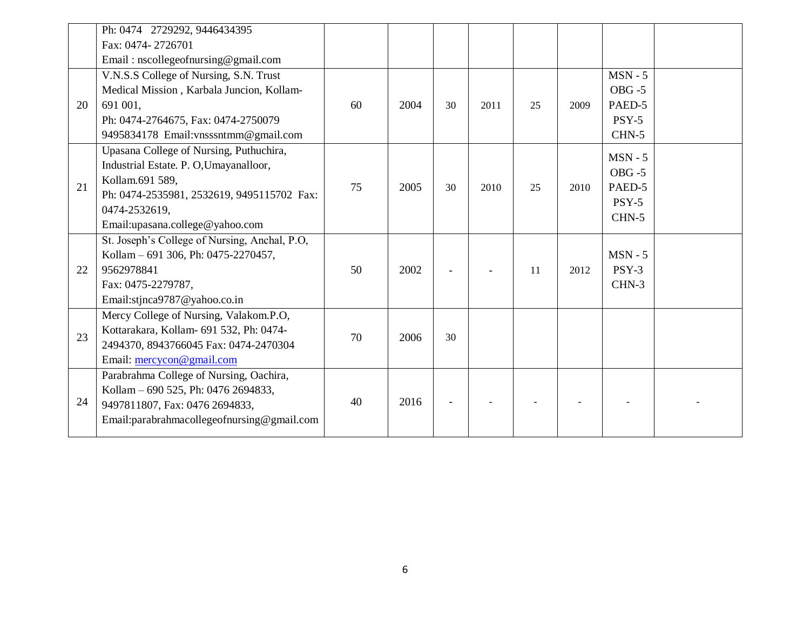|    | Ph: 0474 2729292, 9446434395                  |    |      |    |      |    |      |           |  |
|----|-----------------------------------------------|----|------|----|------|----|------|-----------|--|
|    | Fax: 0474-2726701                             |    |      |    |      |    |      |           |  |
|    | Email: nscollegeofnursing@gmail.com           |    |      |    |      |    |      |           |  |
|    | V.N.S.S College of Nursing, S.N. Trust        |    |      |    |      |    |      | $MSN - 5$ |  |
|    | Medical Mission, Karbala Juncion, Kollam-     |    |      |    |      |    |      | $OBG - 5$ |  |
| 20 | 691 001.                                      | 60 | 2004 | 30 | 2011 | 25 | 2009 | PAED-5    |  |
|    | Ph: 0474-2764675, Fax: 0474-2750079           |    |      |    |      |    |      | $PSY-5$   |  |
|    | 9495834178 Email: vnsssntmm@gmail.com         |    |      |    |      |    |      | CHN-5     |  |
|    | Upasana College of Nursing, Puthuchira,       |    |      |    |      |    |      | $MSN - 5$ |  |
|    | Industrial Estate. P. O, Umayanalloor,        |    |      |    |      |    |      | $OBG - 5$ |  |
| 21 | Kollam.691 589,                               | 75 | 2005 | 30 | 2010 | 25 | 2010 | PAED-5    |  |
|    | Ph: 0474-2535981, 2532619, 9495115702 Fax:    |    |      |    |      |    |      | $PSY-5$   |  |
|    | 0474-2532619,                                 |    |      |    |      |    |      | CHN-5     |  |
|    | Email:upasana.college@yahoo.com               |    |      |    |      |    |      |           |  |
|    | St. Joseph's College of Nursing, Anchal, P.O, |    |      |    |      |    |      |           |  |
|    | Kollam – 691 306, Ph: 0475-2270457,           |    |      |    |      |    |      | $MSN - 5$ |  |
| 22 | 9562978841                                    | 50 | 2002 |    |      | 11 | 2012 | $PSY-3$   |  |
|    | Fax: 0475-2279787,                            |    |      |    |      |    |      | CHN-3     |  |
|    | Email:stjnca9787@yahoo.co.in                  |    |      |    |      |    |      |           |  |
|    | Mercy College of Nursing, Valakom.P.O,        |    |      |    |      |    |      |           |  |
| 23 | Kottarakara, Kollam- 691 532, Ph: 0474-       | 70 | 2006 | 30 |      |    |      |           |  |
|    | 2494370, 8943766045 Fax: 0474-2470304         |    |      |    |      |    |      |           |  |
|    | Email: mercycon@gmail.com                     |    |      |    |      |    |      |           |  |
|    | Parabrahma College of Nursing, Oachira,       |    |      |    |      |    |      |           |  |
|    | Kollam – 690 525, Ph: 0476 2694833,           |    |      |    |      |    |      |           |  |
| 24 | 9497811807, Fax: 0476 2694833,                | 40 | 2016 |    |      |    |      |           |  |
|    | Email:parabrahmacollegeofnursing@gmail.com    |    |      |    |      |    |      |           |  |
|    |                                               |    |      |    |      |    |      |           |  |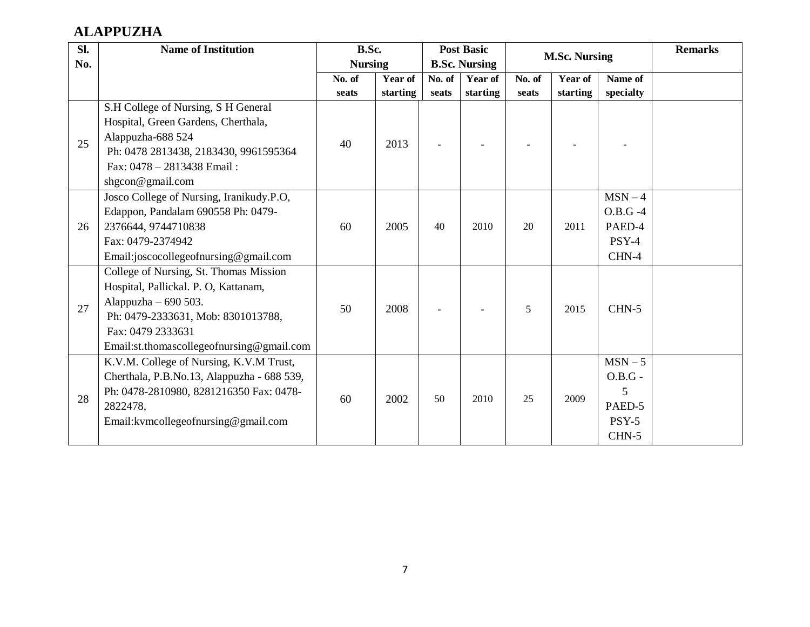## **ALAPPUZHA**

| Sl. | <b>Name of Institution</b>                                                                                                                                                                                      | B.Sc.          |          |        | <b>Post Basic</b>    |        | <b>M.Sc. Nursing</b> |                                                         | <b>Remarks</b> |
|-----|-----------------------------------------------------------------------------------------------------------------------------------------------------------------------------------------------------------------|----------------|----------|--------|----------------------|--------|----------------------|---------------------------------------------------------|----------------|
| No. |                                                                                                                                                                                                                 | <b>Nursing</b> |          |        | <b>B.Sc. Nursing</b> |        |                      |                                                         |                |
|     |                                                                                                                                                                                                                 | No. of         | Year of  | No. of | Year of              | No. of | Year of              | Name of                                                 |                |
|     |                                                                                                                                                                                                                 | seats          | starting | seats  | starting             | seats  | starting             | specialty                                               |                |
| 25  | S.H College of Nursing, S H General<br>Hospital, Green Gardens, Cherthala,<br>Alappuzha-688 524<br>Ph: 0478 2813438, 2183430, 9961595364<br>Fax: 0478 - 2813438 Email:<br>shgcon@gmail.com                      | 40             | 2013     |        |                      |        |                      |                                                         |                |
| 26  | Josco College of Nursing, Iranikudy.P.O,<br>Edappon, Pandalam 690558 Ph: 0479-<br>2376644, 9744710838<br>Fax: 0479-2374942<br>Email:joscocollegeofnursing@gmail.com                                             | 60             | 2005     | 40     | 2010                 | 20     | 2011                 | $MSN-4$<br>$O.B.G -4$<br>PAED-4<br>$PSY-4$<br>CHN-4     |                |
| 27  | College of Nursing, St. Thomas Mission<br>Hospital, Pallickal. P. O, Kattanam,<br>Alappuzha $-690503$ .<br>Ph: 0479-2333631, Mob: 8301013788,<br>Fax: 0479 2333631<br>Email:st.thomascollegeofnursing@gmail.com | 50             | 2008     |        |                      | 5      | 2015                 | $CHN-5$                                                 |                |
| 28  | K.V.M. College of Nursing, K.V.M Trust,<br>Cherthala, P.B.No.13, Alappuzha - 688 539,<br>Ph: 0478-2810980, 8281216350 Fax: 0478-<br>2822478,<br>Email: kvmcollege of nursing @gmail.com                         | 60             | 2002     | 50     | 2010                 | 25     | 2009                 | $MSN-5$<br>$O.B.G$ -<br>5<br>PAED-5<br>$PSY-5$<br>CHN-5 |                |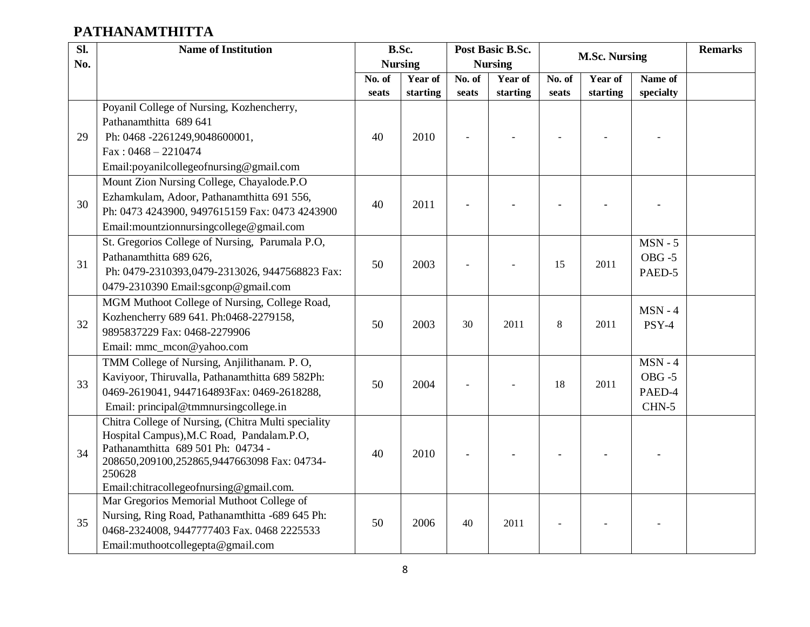## **PATHANAMTHITTA**

| $\overline{sl.}$ | <b>Name of Institution</b>                          |        | B.Sc.          |        | Post Basic B.Sc. |         |                      |           | <b>Remarks</b> |
|------------------|-----------------------------------------------------|--------|----------------|--------|------------------|---------|----------------------|-----------|----------------|
| No.              |                                                     |        | <b>Nursing</b> |        | <b>Nursing</b>   |         | <b>M.Sc. Nursing</b> |           |                |
|                  |                                                     | No. of | Year of        | No. of | Year of          | No. of  | Year of              | Name of   |                |
|                  |                                                     | seats  | starting       | seats  | starting         | seats   | starting             | specialty |                |
|                  | Poyanil College of Nursing, Kozhencherry,           |        |                |        |                  |         |                      |           |                |
|                  | Pathanamthitta 689 641                              |        |                |        |                  |         |                      |           |                |
| 29               | Ph: 0468 -2261249,9048600001,                       | 40     | 2010           |        |                  |         |                      |           |                |
|                  | $Fax: 0468 - 2210474$                               |        |                |        |                  |         |                      |           |                |
|                  | Email:poyanilcollegeofnursing@gmail.com             |        |                |        |                  |         |                      |           |                |
|                  | Mount Zion Nursing College, Chayalode.P.O.          |        |                |        |                  |         |                      |           |                |
| 30               | Ezhamkulam, Adoor, Pathanamthitta 691 556,          | 40     | 2011           |        |                  |         |                      |           |                |
|                  | Ph: 0473 4243900, 9497615159 Fax: 0473 4243900      |        |                |        |                  |         |                      |           |                |
|                  | Email:mountzionnursingcollege@gmail.com             |        |                |        |                  |         |                      |           |                |
|                  | St. Gregorios College of Nursing, Parumala P.O,     |        |                |        |                  |         |                      | $MSN - 5$ |                |
| 31               | Pathanamthitta 689 626,                             | 50     | 2003           |        |                  | 15      | 2011                 | $OBG - 5$ |                |
|                  | Ph: 0479-2310393,0479-2313026, 9447568823 Fax:      |        |                |        |                  |         |                      | PAED-5    |                |
|                  | 0479-2310390 Email:sgconp@gmail.com                 |        |                |        |                  |         |                      |           |                |
|                  | MGM Muthoot College of Nursing, College Road,       |        |                |        |                  |         |                      | $MSN - 4$ |                |
| 32               | Kozhencherry 689 641. Ph:0468-2279158,              | 50     | 2003           | 30     | 2011             | $\,8\,$ | 2011                 | PSY-4     |                |
|                  | 9895837229 Fax: 0468-2279906                        |        |                |        |                  |         |                      |           |                |
|                  | Email: mmc_mcon@yahoo.com                           |        |                |        |                  |         |                      |           |                |
|                  | TMM College of Nursing, Anjilithanam. P. O,         |        |                |        |                  |         |                      | $MSN - 4$ |                |
|                  | Kaviyoor, Thiruvalla, Pathanamthitta 689 582Ph:     |        |                |        |                  |         |                      | $OBG - 5$ |                |
| 33               | 0469-2619041, 9447164893Fax: 0469-2618288,          | 50     | 2004           |        |                  | 18      | 2011                 | PAED-4    |                |
|                  | Email: principal@tmmnursingcollege.in               |        |                |        |                  |         |                      | CHN-5     |                |
|                  | Chitra College of Nursing, (Chitra Multi speciality |        |                |        |                  |         |                      |           |                |
|                  | Hospital Campus), M.C Road, Pandalam.P.O,           |        |                |        |                  |         |                      |           |                |
| 34               | Pathanamthitta 689 501 Ph: 04734 -                  | 40     | 2010           |        |                  |         |                      |           |                |
|                  | 208650,209100,252865,9447663098 Fax: 04734-         |        |                |        |                  |         |                      |           |                |
|                  | 250628<br>Email:chitracollegeofnursing@gmail.com.   |        |                |        |                  |         |                      |           |                |
|                  | Mar Gregorios Memorial Muthoot College of           |        |                |        |                  |         |                      |           |                |
|                  | Nursing, Ring Road, Pathanamthitta -689 645 Ph:     |        |                |        |                  |         |                      |           |                |
| 35               | 0468-2324008, 9447777403 Fax. 0468 2225533          | 50     | 2006           | 40     | 2011             |         |                      |           |                |
|                  | Email:muthootcollegepta@gmail.com                   |        |                |        |                  |         |                      |           |                |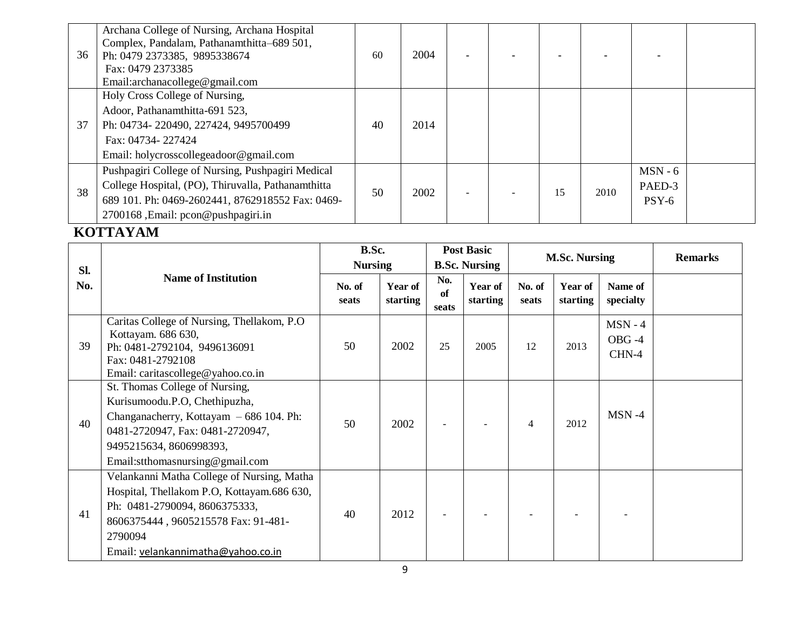| 36 | Archana College of Nursing, Archana Hospital<br>Complex, Pandalam, Pathanamthitta-689 501,<br>Ph: 0479 2373385, 9895338674<br>Fax: 0479 2373385<br>Email:archanacollege@gmail.com                 | 60 | 2004 | $\overline{\phantom{0}}$ |    |      |                                |  |
|----|---------------------------------------------------------------------------------------------------------------------------------------------------------------------------------------------------|----|------|--------------------------|----|------|--------------------------------|--|
| 37 | Holy Cross College of Nursing,<br>Adoor, Pathanamthitta-691 523,<br>Ph: 04734-220490, 227424, 9495700499<br>Fax: 04734-227424<br>Email: holycrosscollegeadoor@gmail.com                           | 40 | 2014 |                          |    |      |                                |  |
| 38 | Pushpagiri College of Nursing, Pushpagiri Medical<br>College Hospital, (PO), Thiruvalla, Pathanamthitta<br>689 101. Ph: 0469-2602441, 8762918552 Fax: 0469-<br>2700168, Email: pcon@pushpagiri.in | 50 | 2002 |                          | 15 | 2010 | $MSN - 6$<br>PAED-3<br>$PSY-6$ |  |

### **KOTTAYAM**

|     |                                                                                                                                                                                                                   | B.Sc.           |                     |                    | <b>Post Basic</b>          |                 |                            |                                |                |
|-----|-------------------------------------------------------------------------------------------------------------------------------------------------------------------------------------------------------------------|-----------------|---------------------|--------------------|----------------------------|-----------------|----------------------------|--------------------------------|----------------|
| Sl. |                                                                                                                                                                                                                   | <b>Nursing</b>  |                     |                    | <b>B.Sc. Nursing</b>       |                 | <b>M.Sc. Nursing</b>       |                                | <b>Remarks</b> |
| No. | <b>Name of Institution</b>                                                                                                                                                                                        | No. of<br>seats | Year of<br>starting | No.<br>of<br>seats | <b>Year of</b><br>starting | No. of<br>seats | <b>Year of</b><br>starting | Name of<br>specialty           |                |
| 39  | Caritas College of Nursing, Thellakom, P.O.<br>Kottayam. 686 630,<br>Ph: 0481-2792104, 9496136091<br>Fax: 0481-2792108<br>Email: caritascollege@yahoo.co.in                                                       | 50              | 2002                | 25                 | 2005                       | 12              | 2013                       | $MSN - 4$<br>$OBG -4$<br>CHN-4 |                |
| 40  | St. Thomas College of Nursing,<br>Kurisumoodu.P.O, Chethipuzha,<br>Changanacherry, Kottayam - 686 104. Ph:<br>0481-2720947, Fax: 0481-2720947,<br>9495215634, 8606998393,<br>Email:stthomasnursing@gmail.com      | 50              | 2002                |                    |                            | $\overline{4}$  | 2012                       | $MSN -4$                       |                |
| 41  | Velankanni Matha College of Nursing, Matha<br>Hospital, Thellakom P.O, Kottayam.686 630,<br>Ph: 0481-2790094, 8606375333,<br>8606375444, 9605215578 Fax: 91-481-<br>2790094<br>Email: velankannimatha@yahoo.co.in | 40              | 2012                |                    |                            |                 |                            |                                |                |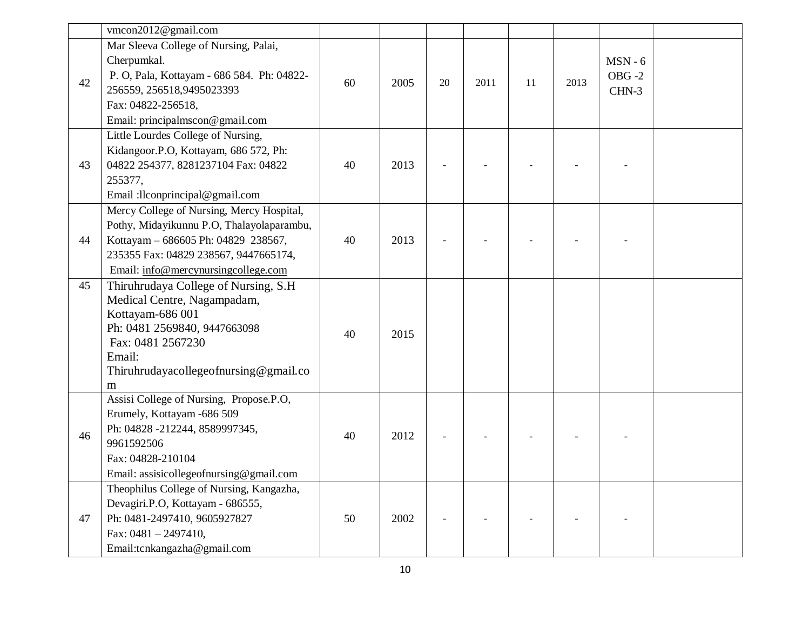|    | vmcon2012@gmail.com                                                                                                                                                                                           |    |      |    |      |    |      |                                 |  |
|----|---------------------------------------------------------------------------------------------------------------------------------------------------------------------------------------------------------------|----|------|----|------|----|------|---------------------------------|--|
| 42 | Mar Sleeva College of Nursing, Palai,<br>Cherpumkal.<br>P. O, Pala, Kottayam - 686 584. Ph: 04822-<br>256559, 256518, 9495023393<br>Fax: 04822-256518,<br>Email: principalmscon@gmail.com                     | 60 | 2005 | 20 | 2011 | 11 | 2013 | $MSN - 6$<br>$OBG - 2$<br>CHN-3 |  |
| 43 | Little Lourdes College of Nursing,<br>Kidangoor.P.O, Kottayam, 686 572, Ph:<br>04822 254377, 8281237104 Fax: 04822<br>255377,<br>Email :llconprincipal@gmail.com                                              | 40 | 2013 |    |      |    |      |                                 |  |
| 44 | Mercy College of Nursing, Mercy Hospital,<br>Pothy, Midayikunnu P.O, Thalayolaparambu,<br>Kottayam - 686605 Ph: 04829 238567,<br>235355 Fax: 04829 238567, 9447665174,<br>Email: info@mercynursingcollege.com | 40 | 2013 |    |      |    |      |                                 |  |
| 45 | Thiruhrudaya College of Nursing, S.H.<br>Medical Centre, Nagampadam,<br>Kottayam-686 001<br>Ph: 0481 2569840, 9447663098<br>Fax: 0481 2567230<br>Email:<br>Thiruhrudayacollegeofnursing@gmail.co<br>m         | 40 | 2015 |    |      |    |      |                                 |  |
| 46 | Assisi College of Nursing, Propose.P.O,<br>Erumely, Kottayam -686 509<br>Ph: 04828 -212244, 8589997345,<br>9961592506<br>Fax: 04828-210104<br>Email: assisicollegeofnursing@gmail.com                         | 40 | 2012 |    |      |    |      |                                 |  |
| 47 | Theophilus College of Nursing, Kangazha,<br>Devagiri.P.O, Kottayam - 686555,<br>Ph: 0481-2497410, 9605927827<br>Fax: 0481 - 2497410,<br>Email:tcnkangazha@gmail.com                                           | 50 | 2002 |    |      |    |      |                                 |  |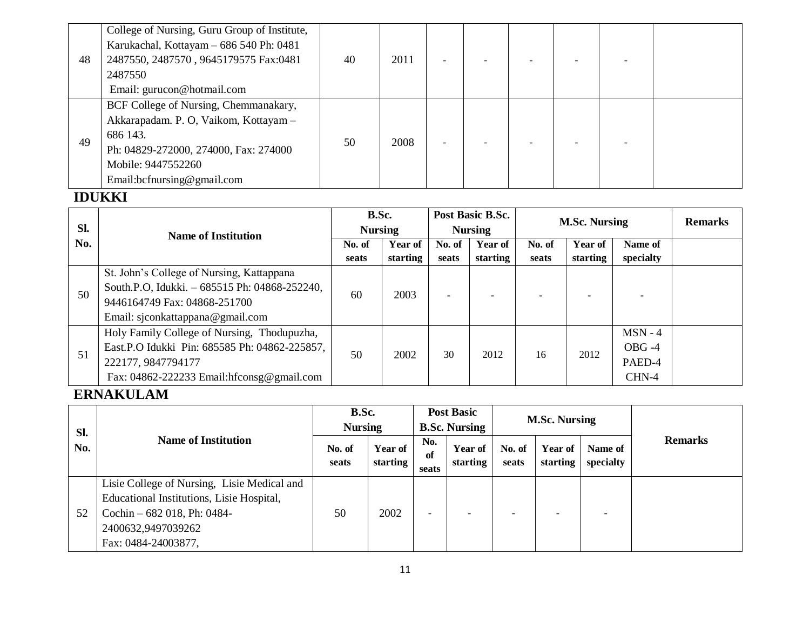|    | College of Nursing, Guru Group of Institute, |    |      |  |  |  |
|----|----------------------------------------------|----|------|--|--|--|
|    | Karukachal, Kottayam - 686 540 Ph: 0481      |    |      |  |  |  |
| 48 | 2487550, 2487570, 9645179575 Fax:0481        | 40 | 2011 |  |  |  |
|    | 2487550                                      |    |      |  |  |  |
|    | Email: gurucon@hotmail.com                   |    |      |  |  |  |
|    | BCF College of Nursing, Chemmanakary,        |    |      |  |  |  |
|    | Akkarapadam. P. O, Vaikom, Kottayam -        |    |      |  |  |  |
| 49 | 686 143.                                     | 50 | 2008 |  |  |  |
|    | Ph: 04829-272000, 274000, Fax: 274000        |    |      |  |  |  |
|    | Mobile: 9447552260                           |    |      |  |  |  |
|    | Email:bcfnursing@gmail.com                   |    |      |  |  |  |

### **IDUKKI**

|     |                                               | B.Sc.          |          |        | Post Basic B.Sc. |        | <b>M.Sc. Nursing</b> | <b>Remarks</b> |  |
|-----|-----------------------------------------------|----------------|----------|--------|------------------|--------|----------------------|----------------|--|
| Sl. | <b>Name of Institution</b>                    | <b>Nursing</b> |          |        | <b>Nursing</b>   |        |                      |                |  |
| No. |                                               | No. of         | Year of  | No. of | <b>Year of</b>   | No. of | Year of              | Name of        |  |
|     |                                               | seats          | starting | seats  | starting         | seats  | starting             | specialty      |  |
|     | St. John's College of Nursing, Kattappana     |                |          |        |                  |        |                      |                |  |
|     | South.P.O, Idukki. - 685515 Ph: 04868-252240, |                | 2003     |        |                  |        |                      |                |  |
| 50  | 9446164749 Fax: 04868-251700                  | 60             |          |        |                  |        |                      |                |  |
|     | Email: sjconkattappana@gmail.com              |                |          |        |                  |        |                      |                |  |
|     | Holy Family College of Nursing, Thodupuzha,   |                |          |        |                  |        |                      | $MSN - 4$      |  |
|     | East.P.O Idukki Pin: 685585 Ph: 04862-225857, | 50             | 2002     | 30     | 2012             | 16     | 2012                 | $OBG -4$       |  |
| 51  | 222177, 9847794177                            |                |          |        |                  |        |                      | PAED-4         |  |
|     | Fax: 04862-222233 Email:hfconsg@gmail.com     |                |          |        |                  |        |                      | CHN-4          |  |

### **ERNAKULAM**

| Sl. |                                                                                                                                                                       | B.Sc.<br><b>Nursing</b>    |                 | <b>Post Basic</b><br><b>B.Sc. Nursing</b> |                    |                          | <b>M.Sc. Nursing</b>     |                     |                      |                |
|-----|-----------------------------------------------------------------------------------------------------------------------------------------------------------------------|----------------------------|-----------------|-------------------------------------------|--------------------|--------------------------|--------------------------|---------------------|----------------------|----------------|
| No. |                                                                                                                                                                       | <b>Name of Institution</b> | No. of<br>seats | <b>Year of</b><br>starting                | No.<br>of<br>seats | Year of<br>starting      | No. of<br>seats          | Year of<br>starting | Name of<br>specialty | <b>Remarks</b> |
| 52  | Lisie College of Nursing, Lisie Medical and<br>Educational Institutions, Lisie Hospital,<br>Cochin $-682$ 018, Ph: 0484-<br>2400632,9497039262<br>Fax: 0484-24003877, | 50                         | 2002            | -                                         |                    | $\overline{\phantom{0}}$ | $\overline{\phantom{0}}$ |                     |                      |                |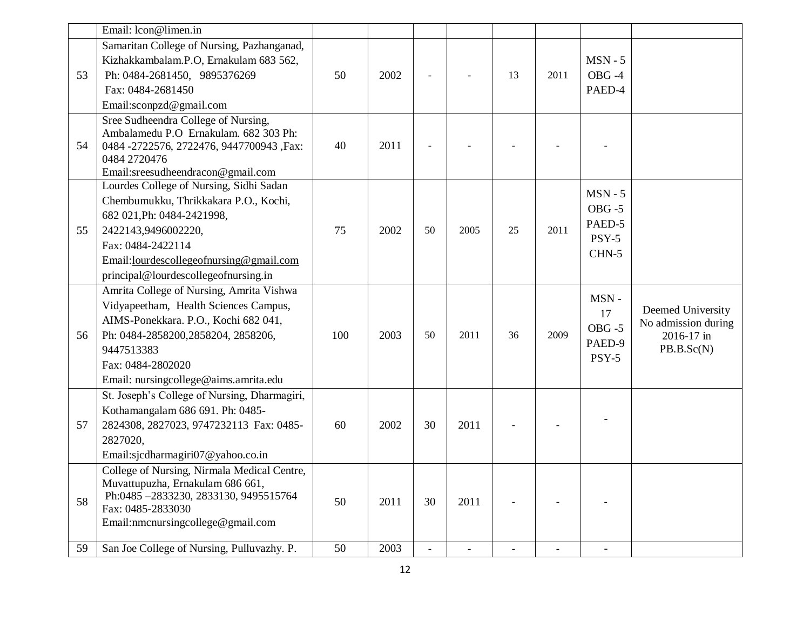|    | Email: lcon@limen.in                                                                                                                                                                                                                                  |     |      |               |      |    |      |                                                      |                                                                      |
|----|-------------------------------------------------------------------------------------------------------------------------------------------------------------------------------------------------------------------------------------------------------|-----|------|---------------|------|----|------|------------------------------------------------------|----------------------------------------------------------------------|
| 53 | Samaritan College of Nursing, Pazhanganad,<br>Kizhakkambalam.P.O, Ernakulam 683 562,<br>Ph: 0484-2681450, 9895376269<br>Fax: 0484-2681450<br>Email:sconpzd@gmail.com                                                                                  | 50  | 2002 |               |      | 13 | 2011 | $MSN - 5$<br>OBG-4<br>PAED-4                         |                                                                      |
| 54 | Sree Sudheendra College of Nursing,<br>Ambalamedu P.O Ernakulam. 682 303 Ph:<br>0484 -2722576, 2722476, 9447700943, Fax:<br>0484 2720476<br>Email:sreesudheendracon@gmail.com                                                                         | 40  | 2011 |               |      |    |      |                                                      |                                                                      |
| 55 | Lourdes College of Nursing, Sidhi Sadan<br>Chembumukku, Thrikkakara P.O., Kochi,<br>682 021, Ph: 0484-2421998,<br>2422143,9496002220,<br>Fax: 0484-2422114<br>Email: <u>lourdescollegeofnursing@gmail.com</u><br>principal@lourdescollegeofnursing.in | 75  | 2002 | 50            | 2005 | 25 | 2011 | $MSN - 5$<br>$OBG - 5$<br>PAED-5<br>$PSY-5$<br>CHN-5 |                                                                      |
| 56 | Amrita College of Nursing, Amrita Vishwa<br>Vidyapeetham, Health Sciences Campus,<br>AIMS-Ponekkara. P.O., Kochi 682 041,<br>Ph: 0484-2858200,2858204, 2858206,<br>9447513383<br>Fax: 0484-2802020<br>Email: nursingcollege@aims.amrita.edu           | 100 | 2003 | 50            | 2011 | 36 | 2009 | MSN-<br>17<br>$OBG - 5$<br>PAED-9<br>$PSY-5$         | Deemed University<br>No admission during<br>2016-17 in<br>PB.B.Sc(N) |
| 57 | St. Joseph's College of Nursing, Dharmagiri,<br>Kothamangalam 686 691. Ph: 0485-<br>2824308, 2827023, 9747232113 Fax: 0485-<br>2827020,<br>Email:sjcdharmagiri07@yahoo.co.in                                                                          | 60  | 2002 | 30            | 2011 |    |      |                                                      |                                                                      |
| 58 | College of Nursing, Nirmala Medical Centre,<br>Muvattupuzha, Ernakulam 686 661,<br>Ph:0485-2833230, 2833130, 9495515764<br>Fax: 0485-2833030<br>Email:nmcnursingcollege@gmail.com                                                                     | 50  | 2011 | 30            | 2011 |    |      |                                                      |                                                                      |
| 59 | San Joe College of Nursing, Pulluvazhy. P.                                                                                                                                                                                                            | 50  | 2003 | $\frac{1}{2}$ |      |    |      |                                                      |                                                                      |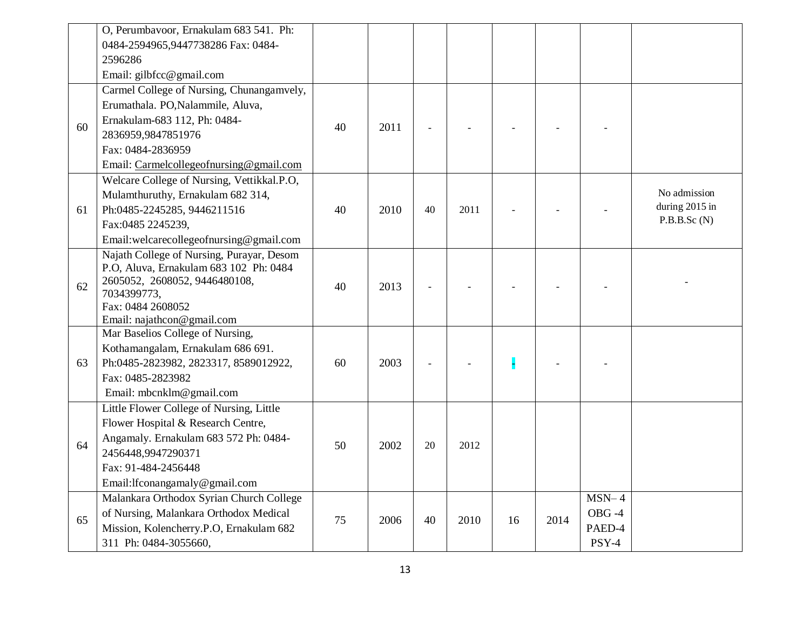|    | O, Perumbayoor, Ernakulam 683 541. Ph:                                              |    |      |    |      |    |      |          |                                |
|----|-------------------------------------------------------------------------------------|----|------|----|------|----|------|----------|--------------------------------|
|    | 0484-2594965,9447738286 Fax: 0484-                                                  |    |      |    |      |    |      |          |                                |
|    | 2596286                                                                             |    |      |    |      |    |      |          |                                |
|    | Email: gilbfcc@gmail.com                                                            |    |      |    |      |    |      |          |                                |
|    | Carmel College of Nursing, Chunangamvely,                                           |    |      |    |      |    |      |          |                                |
|    | Erumathala. PO, Nalammile, Aluva,                                                   |    |      |    |      |    |      |          |                                |
| 60 | Ernakulam-683 112, Ph: 0484-                                                        | 40 | 2011 |    |      |    |      |          |                                |
|    | 2836959,9847851976                                                                  |    |      |    |      |    |      |          |                                |
|    | Fax: 0484-2836959                                                                   |    |      |    |      |    |      |          |                                |
|    | Email: Carmelcollegeofnursing@gmail.com                                             |    |      |    |      |    |      |          |                                |
|    | Welcare College of Nursing, Vettikkal.P.O,                                          |    |      |    |      |    |      |          |                                |
|    | Mulamthuruthy, Ernakulam 682 314,                                                   |    |      |    |      |    |      |          | No admission<br>during 2015 in |
| 61 | Ph:0485-2245285, 9446211516                                                         | 40 | 2010 | 40 | 2011 |    |      |          | P.B.B.Sc(N)                    |
|    | Fax:0485 2245239,                                                                   |    |      |    |      |    |      |          |                                |
|    | Email:welcarecollegeofnursing@gmail.com                                             |    |      |    |      |    |      |          |                                |
|    | Najath College of Nursing, Purayar, Desom<br>P.O, Aluva, Ernakulam 683 102 Ph: 0484 |    |      |    |      |    |      |          |                                |
|    | 2605052, 2608052, 9446480108,                                                       |    |      |    |      |    |      |          |                                |
| 62 | 7034399773,                                                                         | 40 | 2013 |    |      |    |      |          |                                |
|    | Fax: 0484 2608052                                                                   |    |      |    |      |    |      |          |                                |
|    | Email: najathcon@gmail.com                                                          |    |      |    |      |    |      |          |                                |
|    | Mar Baselios College of Nursing,                                                    |    |      |    |      |    |      |          |                                |
|    | Kothamangalam, Ernakulam 686 691.                                                   |    |      |    |      |    |      |          |                                |
| 63 | Ph:0485-2823982, 2823317, 8589012922,                                               | 60 | 2003 |    |      | H  |      |          |                                |
|    | Fax: 0485-2823982                                                                   |    |      |    |      |    |      |          |                                |
|    | Email: mbcnklm@gmail.com                                                            |    |      |    |      |    |      |          |                                |
|    | Little Flower College of Nursing, Little                                            |    |      |    |      |    |      |          |                                |
|    | Flower Hospital & Research Centre,                                                  |    |      |    |      |    |      |          |                                |
| 64 | Angamaly. Ernakulam 683 572 Ph: 0484-                                               | 50 | 2002 | 20 | 2012 |    |      |          |                                |
|    | 2456448,9947290371                                                                  |    |      |    |      |    |      |          |                                |
|    | Fax: 91-484-2456448                                                                 |    |      |    |      |    |      |          |                                |
|    | Email: lfconangamaly@gmail.com                                                      |    |      |    |      |    |      |          |                                |
|    | Malankara Orthodox Syrian Church College                                            |    |      |    |      |    |      | $MSN-4$  |                                |
| 65 | of Nursing, Malankara Orthodox Medical                                              | 75 | 2006 | 40 | 2010 | 16 | 2014 | $OBG -4$ |                                |
|    | Mission, Kolencherry.P.O, Ernakulam 682                                             |    |      |    |      |    |      | PAED-4   |                                |
|    | 311 Ph: 0484-3055660,                                                               |    |      |    |      |    |      | PSY-4    |                                |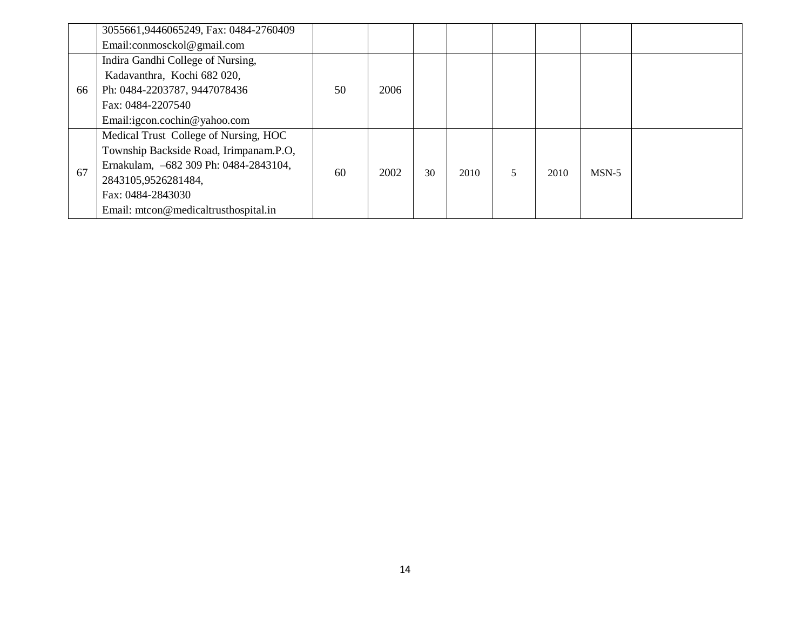|    | 3055661,9446065249, Fax: 0484-2760409  |    |      |    |      |   |      |         |  |
|----|----------------------------------------|----|------|----|------|---|------|---------|--|
|    | Email:conmosckol@gmail.com             |    |      |    |      |   |      |         |  |
|    | Indira Gandhi College of Nursing,      |    |      |    |      |   |      |         |  |
|    | Kadavanthra, Kochi 682 020,            |    |      |    |      |   |      |         |  |
| 66 | Ph: 0484-2203787, 9447078436           | 50 | 2006 |    |      |   |      |         |  |
|    | Fax: 0484-2207540                      |    |      |    |      |   |      |         |  |
|    | Email:igcon.cochin@yahoo.com           |    |      |    |      |   |      |         |  |
|    | Medical Trust College of Nursing, HOC  |    |      |    |      |   |      |         |  |
|    | Township Backside Road, Irimpanam.P.O, |    |      |    |      |   |      |         |  |
| 67 | Ernakulam, -682 309 Ph: 0484-2843104,  | 60 | 2002 | 30 | 2010 | 5 | 2010 | $MSN-5$ |  |
|    | 2843105,9526281484,                    |    |      |    |      |   |      |         |  |
|    | Fax: 0484-2843030                      |    |      |    |      |   |      |         |  |
|    | Email: mtcon@medicaltrusthospital.in   |    |      |    |      |   |      |         |  |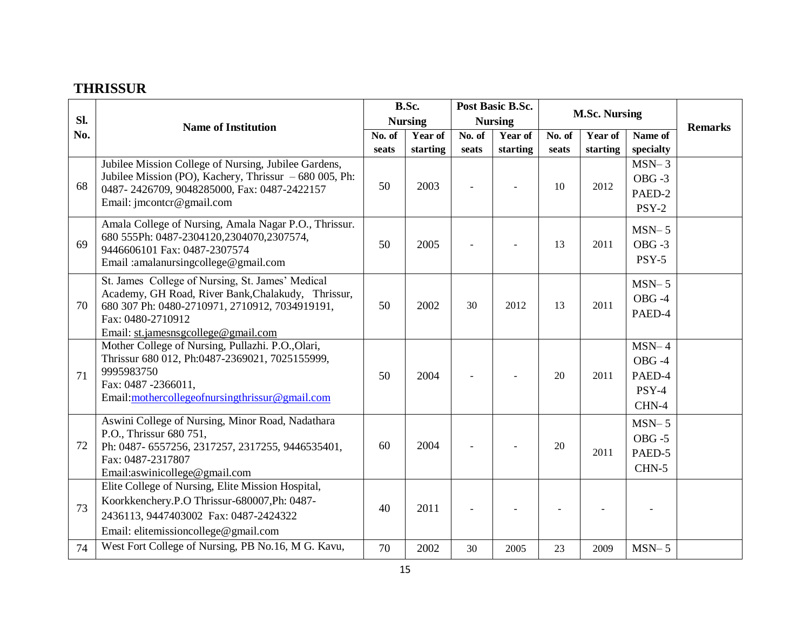### **THRISSUR**

|     |                                                                                                      |        | B.Sc.          |        | Post Basic B.Sc. |        |                      |           |                |
|-----|------------------------------------------------------------------------------------------------------|--------|----------------|--------|------------------|--------|----------------------|-----------|----------------|
| Sl. | <b>Name of Institution</b>                                                                           |        | <b>Nursing</b> |        | <b>Nursing</b>   |        | <b>M.Sc. Nursing</b> |           | <b>Remarks</b> |
| No. |                                                                                                      | No. of | Year of        | No. of | Year of          | No. of | Year of              | Name of   |                |
|     |                                                                                                      | seats  | starting       | seats  | starting         | seats  | starting             | specialty |                |
|     | Jubilee Mission College of Nursing, Jubilee Gardens,                                                 |        |                |        |                  |        |                      | $MSN-3$   |                |
| 68  | Jubilee Mission (PO), Kachery, Thrissur $-680005$ , Ph:                                              | 50     | 2003           |        |                  | 10     | 2012                 | $OBG - 3$ |                |
|     | 0487-2426709, 9048285000, Fax: 0487-2422157                                                          |        |                |        |                  |        |                      | PAED-2    |                |
|     | Email: jmcontcr@gmail.com                                                                            |        |                |        |                  |        |                      | PSY-2     |                |
|     | Amala College of Nursing, Amala Nagar P.O., Thrissur.                                                |        |                |        |                  |        |                      | $MSN-5$   |                |
| 69  | 680 555Ph: 0487-2304120,2304070,2307574,                                                             | 50     | 2005           |        |                  | 13     | 2011                 | $OBG - 3$ |                |
|     | 9446606101 Fax: 0487-2307574                                                                         |        |                |        |                  |        |                      | PSY-5     |                |
|     | Email: amalanursingcollege@gmail.com                                                                 |        |                |        |                  |        |                      |           |                |
|     | St. James College of Nursing, St. James' Medical                                                     |        |                |        |                  |        |                      | $MSN-5$   |                |
| 70  | Academy, GH Road, River Bank, Chalakudy, Thrissur,<br>680 307 Ph: 0480-2710971, 2710912, 7034919191, | 50     | 2002           | 30     | 2012             | 13     | 2011                 | OBG-4     |                |
|     | Fax: 0480-2710912                                                                                    |        |                |        |                  |        |                      | PAED-4    |                |
|     | Email: st.jamesnsgcollege@gmail.com                                                                  |        |                |        |                  |        |                      |           |                |
|     | Mother College of Nursing, Pullazhi. P.O., Olari,                                                    |        |                |        |                  |        |                      | $MSN-4$   |                |
|     | Thrissur 680 012, Ph:0487-2369021, 7025155999,                                                       |        |                |        |                  |        |                      | OBG-4     |                |
| 71  | 9995983750                                                                                           | 50     | 2004           |        |                  | 20     | 2011                 | PAED-4    |                |
|     | Fax: 0487 -2366011,<br>Email:mothercollegeofnursingthrissur@gmail.com                                |        |                |        |                  |        |                      | PSY-4     |                |
|     |                                                                                                      |        |                |        |                  |        |                      | CHN-4     |                |
|     | Aswini College of Nursing, Minor Road, Nadathara                                                     |        |                |        |                  |        |                      | $MSN-5$   |                |
|     | P.O., Thrissur 680 751,                                                                              |        |                |        |                  |        |                      | $OBG - 5$ |                |
| 72  | Ph: 0487-6557256, 2317257, 2317255, 9446535401,                                                      | 60     | 2004           |        |                  | 20     | 2011                 | PAED-5    |                |
|     | Fax: 0487-2317807<br>Email:aswinicollege@gmail.com                                                   |        |                |        |                  |        |                      | CHN-5     |                |
|     | Elite College of Nursing, Elite Mission Hospital,                                                    |        |                |        |                  |        |                      |           |                |
|     | Koorkkenchery.P.O Thrissur-680007,Ph: 0487-                                                          |        |                |        |                  |        |                      |           |                |
| 73  | 2436113, 9447403002 Fax: 0487-2424322                                                                | 40     | 2011           |        |                  |        |                      |           |                |
|     | Email: elitemissioncollege@gmail.com                                                                 |        |                |        |                  |        |                      |           |                |
| 74  | West Fort College of Nursing, PB No.16, M G. Kavu,                                                   | 70     | 2002           | 30     | 2005             | 23     | 2009                 | $MSN-5$   |                |
|     |                                                                                                      |        |                |        |                  |        |                      |           |                |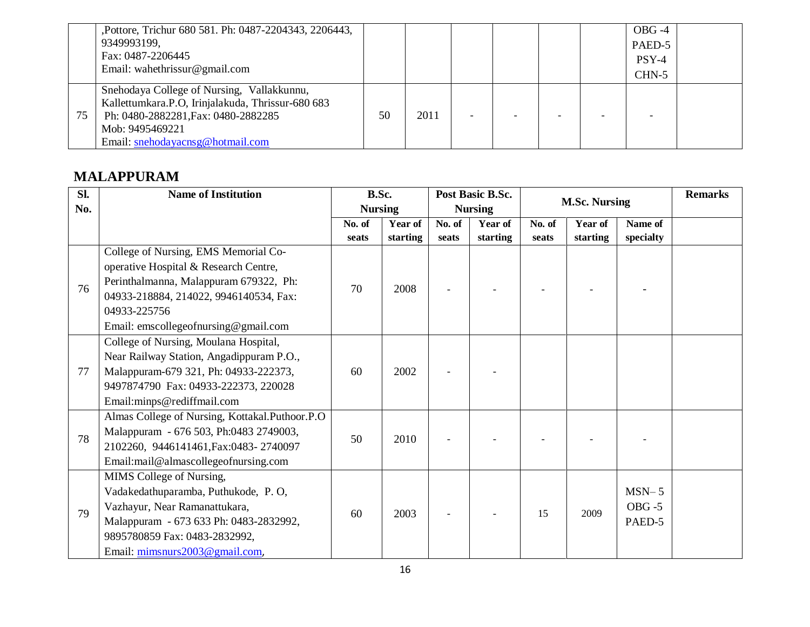|    | , Pottore, Trichur 680 581. Ph: 0487-2204343, 2206443, |    |      |  |  | $OBG -4$ |  |
|----|--------------------------------------------------------|----|------|--|--|----------|--|
|    | 9349993199,                                            |    |      |  |  | PAED-5   |  |
|    | Fax: 0487-2206445                                      |    |      |  |  | $PSY-4$  |  |
|    | Email: wahethrissur@gmail.com                          |    |      |  |  | $CHN-5$  |  |
|    | Snehodaya College of Nursing, Vallakkunnu,             |    |      |  |  |          |  |
|    | Kallettumkara.P.O, Irinjalakuda, Thrissur-680 683      |    |      |  |  |          |  |
| 75 | Ph: 0480-2882281, Fax: 0480-2882285                    | 50 | 2011 |  |  |          |  |
|    | Mob: 9495469221                                        |    |      |  |  |          |  |
|    | Email: snehodayacnsg@hotmail.com                       |    |      |  |  |          |  |

### **MALAPPURAM**

| Sl. | <b>Name of Institution</b>                     | B.Sc.          |          |        | Post Basic B.Sc. |        |                      |           | <b>Remarks</b> |
|-----|------------------------------------------------|----------------|----------|--------|------------------|--------|----------------------|-----------|----------------|
| No. |                                                | <b>Nursing</b> |          |        | <b>Nursing</b>   |        | <b>M.Sc. Nursing</b> |           |                |
|     |                                                | No. of         | Year of  | No. of | Year of          | No. of | Year of              | Name of   |                |
|     |                                                | seats          | starting | seats  | starting         | seats  | starting             | specialty |                |
|     | College of Nursing, EMS Memorial Co-           |                |          |        |                  |        |                      |           |                |
|     | operative Hospital & Research Centre,          |                |          |        |                  |        |                      |           |                |
| 76  | Perinthalmanna, Malappuram 679322, Ph:         | 70             | 2008     |        |                  |        |                      |           |                |
|     | 04933-218884, 214022, 9946140534, Fax:         |                |          |        |                  |        |                      |           |                |
|     | 04933-225756                                   |                |          |        |                  |        |                      |           |                |
|     | Email: emscollegeofnursing@gmail.com           |                |          |        |                  |        |                      |           |                |
|     | College of Nursing, Moulana Hospital,          |                |          |        |                  |        |                      |           |                |
|     | Near Railway Station, Angadippuram P.O.,       |                |          |        |                  |        |                      |           |                |
| 77  | Malappuram-679 321, Ph: 04933-222373,          | 60             | 2002     |        |                  |        |                      |           |                |
|     | 9497874790 Fax: 04933-222373, 220028           |                |          |        |                  |        |                      |           |                |
|     | Email:minps@rediffmail.com                     |                |          |        |                  |        |                      |           |                |
|     | Almas College of Nursing, Kottakal.Puthoor.P.O |                |          |        |                  |        |                      |           |                |
| 78  | Malappuram - 676 503, Ph:0483 2749003,         |                |          |        |                  |        |                      |           |                |
|     | 2102260, 9446141461, Fax: 0483-2740097         | 50             | 2010     |        |                  |        |                      |           |                |
|     | Email:mail@almascollegeofnursing.com           |                |          |        |                  |        |                      |           |                |
|     | MIMS College of Nursing,                       |                |          |        |                  |        |                      |           |                |
|     | Vadakedathuparamba, Puthukode, P.O,            |                |          |        |                  |        |                      | $MSN-5$   |                |
| 79  | Vazhayur, Near Ramanattukara,                  | 60             |          |        |                  | 15     | 2009                 | $OBG - 5$ |                |
|     | Malappuram - 673 633 Ph: 0483-2832992,         |                | 2003     |        |                  |        |                      | PAED-5    |                |
|     | 9895780859 Fax: 0483-2832992,                  |                |          |        |                  |        |                      |           |                |
|     | Email: mimsnurs2003@gmail.com,                 |                |          |        |                  |        |                      |           |                |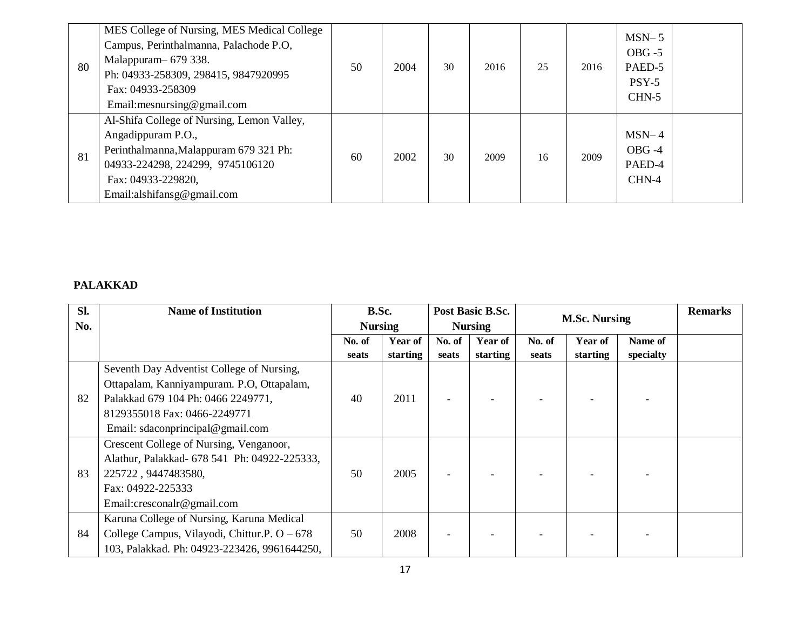| 80 | MES College of Nursing, MES Medical College<br>Campus, Perinthalmanna, Palachode P.O,<br>Malappuram 679 338.<br>Ph: 04933-258309, 298415, 9847920995<br>Fax: 04933-258309<br>Email:mesnursing@gmail.com | 50 | 2004 | 30 | 2016 | 25 | 2016 | $MSN-5$<br>$OBG - 5$<br>PAED-5<br>$PSY-5$<br>$CHN-5$ |  |
|----|---------------------------------------------------------------------------------------------------------------------------------------------------------------------------------------------------------|----|------|----|------|----|------|------------------------------------------------------|--|
| 81 | Al-Shifa College of Nursing, Lemon Valley,<br>Angadippuram P.O.,<br>Perinthalmanna, Malappuram 679 321 Ph:<br>04933-224298, 224299, 9745106120<br>Fax: 04933-229820,<br>Email:alshifansg@gmail.com      | 60 | 2002 | 30 | 2009 | 16 | 2009 | $MSN-4$<br>$OBG -4$<br>PAED-4<br>CHN-4               |  |

#### **PALAKKAD**

| Sl. | <b>Name of Institution</b>                     | B.Sc.          |                |        | Post Basic B.Sc. |        | <b>M.Sc. Nursing</b> |           | <b>Remarks</b> |
|-----|------------------------------------------------|----------------|----------------|--------|------------------|--------|----------------------|-----------|----------------|
| No. |                                                | <b>Nursing</b> |                |        | <b>Nursing</b>   |        |                      |           |                |
|     |                                                | No. of         | <b>Year of</b> | No. of | Year of          | No. of | <b>Year of</b>       | Name of   |                |
|     |                                                | seats          | starting       | seats  | starting         | seats  | starting             | specialty |                |
|     | Seventh Day Adventist College of Nursing,      |                |                |        |                  |        |                      |           |                |
|     | Ottapalam, Kanniyampuram. P.O, Ottapalam,      |                |                |        |                  |        |                      |           |                |
| 82  | Palakkad 679 104 Ph: 0466 2249771,             | 40             | 2011           |        |                  |        |                      |           |                |
|     | 8129355018 Fax: 0466-2249771                   |                |                |        |                  |        |                      |           |                |
|     | Email: sdaconprincipal@gmail.com               |                |                |        |                  |        |                      |           |                |
|     | Crescent College of Nursing, Venganoor,        |                |                |        |                  |        |                      |           |                |
|     | Alathur, Palakkad- 678 541 Ph: 04922-225333,   |                |                |        |                  |        |                      |           |                |
| 83  | 225722, 9447483580,                            | 50             | 2005           |        |                  |        |                      |           |                |
|     | Fax: 04922-225333                              |                |                |        |                  |        |                      |           |                |
|     | Email: cresconalr@gmail.com                    |                |                |        |                  |        |                      |           |                |
|     | Karuna College of Nursing, Karuna Medical      |                |                |        |                  |        |                      |           |                |
| 84  | College Campus, Vilayodi, Chittur.P. $O - 678$ | 50             | 2008           |        |                  |        |                      |           |                |
|     | 103, Palakkad. Ph: 04923-223426, 9961644250,   |                |                |        |                  |        |                      |           |                |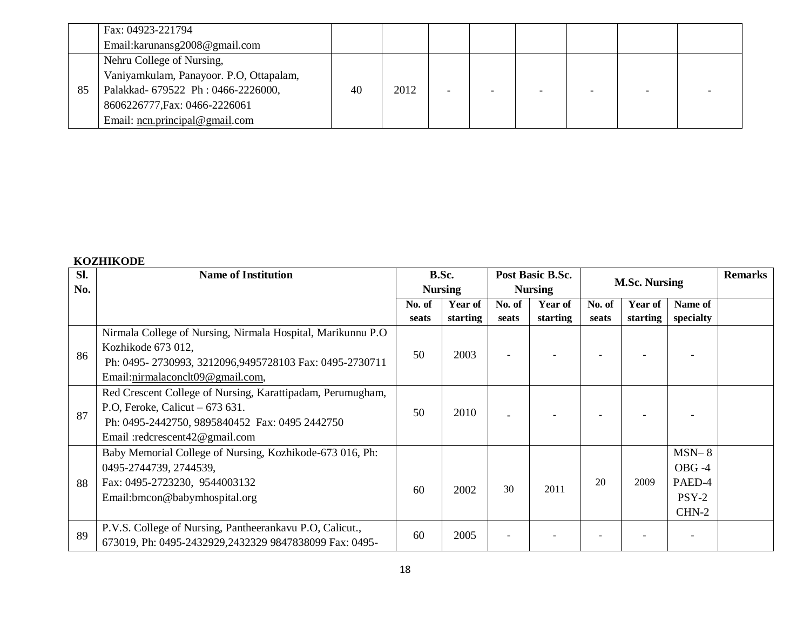|    | Fax: 04923-221794                       |    |      |  |  |  |
|----|-----------------------------------------|----|------|--|--|--|
|    | Email:karunansg2008@gmail.com           |    |      |  |  |  |
|    | Nehru College of Nursing,               |    |      |  |  |  |
|    | Vaniyamkulam, Panayoor. P.O, Ottapalam, |    |      |  |  |  |
| 85 | Palakkad- 679522 Ph: 0466-2226000,      | 40 | 2012 |  |  |  |
|    | 8606226777, Fax: 0466-2226061           |    |      |  |  |  |
|    | Email: $ncn. principal@gmail.com$       |    |      |  |  |  |

#### **KOZHIKODE**

| Sl.<br>No. | <b>Name of Institution</b>                                                                                                                                                         |                 | B.Sc.<br><b>Nursing</b>    |                 | Post Basic B.Sc.<br><b>Nursing</b> |                 | <b>M.Sc. Nursing</b>       |                                                | <b>Remarks</b> |
|------------|------------------------------------------------------------------------------------------------------------------------------------------------------------------------------------|-----------------|----------------------------|-----------------|------------------------------------|-----------------|----------------------------|------------------------------------------------|----------------|
|            |                                                                                                                                                                                    | No. of<br>seats | <b>Year of</b><br>starting | No. of<br>seats | Year of<br>starting                | No. of<br>seats | <b>Year of</b><br>starting | Name of<br>specialty                           |                |
| 86         | Nirmala College of Nursing, Nirmala Hospital, Marikunnu P.O.<br>Kozhikode 673 012,<br>Ph: 0495-2730993, 3212096, 9495728103 Fax: 0495-2730711<br>Email:nirmalaconclt09@gmail.com,  | 50              | 2003                       |                 |                                    |                 |                            |                                                |                |
| 87         | Red Crescent College of Nursing, Karattipadam, Perumugham,<br>P.O, Feroke, Calicut $-673631$ .<br>Ph: 0495-2442750, 9895840452 Fax: 0495 2442750<br>Email :redcrescent42@gmail.com | 50              | 2010                       |                 |                                    |                 |                            |                                                |                |
| 88         | Baby Memorial College of Nursing, Kozhikode-673 016, Ph:<br>0495-2744739, 2744539,<br>Fax: 0495-2723230, 9544003132<br>Email:bmcon@babymhospital.org                               | 60              | 2002                       | 30              | 2011                               | 20              | 2009                       | $MSN-8$<br>OBG-4<br>PAED-4<br>$PSY-2$<br>CHN-2 |                |
| 89         | P.V.S. College of Nursing, Pantheerankavu P.O, Calicut.,<br>673019, Ph: 0495-2432929,2432329 9847838099 Fax: 0495-                                                                 | 60              | 2005                       |                 |                                    |                 |                            |                                                |                |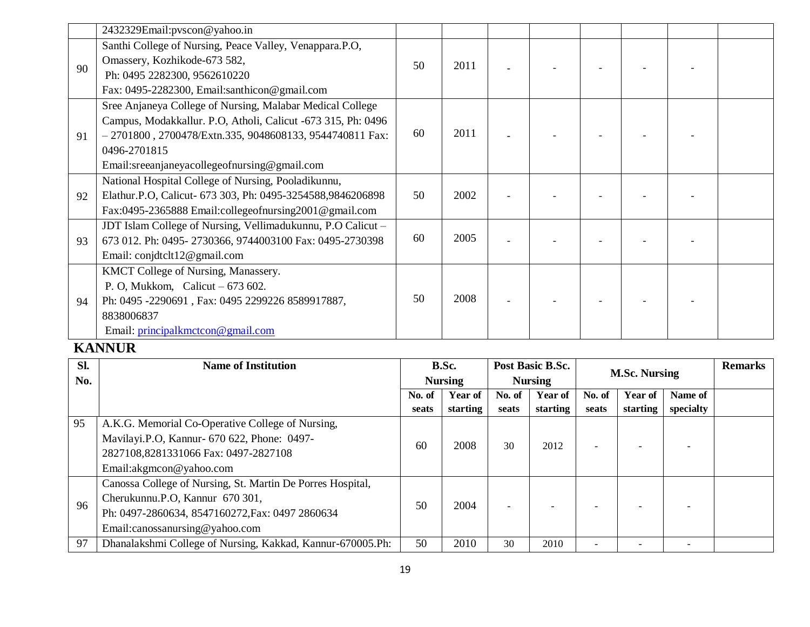|    | 2432329Email:pvscon@yahoo.in                                                                                                                                                                                                                            |    |      |  |  |  |
|----|---------------------------------------------------------------------------------------------------------------------------------------------------------------------------------------------------------------------------------------------------------|----|------|--|--|--|
| 90 | Santhi College of Nursing, Peace Valley, Venappara.P.O,<br>Omassery, Kozhikode-673 582,<br>Ph: 0495 2282300, 9562610220<br>Fax: 0495-2282300, Email:santhicon@gmail.com                                                                                 | 50 | 2011 |  |  |  |
| 91 | Sree Anjaneya College of Nursing, Malabar Medical College<br>Campus, Modakkallur. P.O. Atholi, Calicut -673 315, Ph: 0496<br>$-2701800$ , 2700478/Extn.335, 9048608133, 9544740811 Fax:<br>0496-2701815<br>Email:sreeanjaneyacollegeofnursing@gmail.com | 60 | 2011 |  |  |  |
| 92 | National Hospital College of Nursing, Pooladikunnu,<br>Elathur.P.O, Calicut- 673 303, Ph: 0495-3254588,9846206898<br>Fax:0495-2365888 Email:collegeofnursing2001@gmail.com                                                                              | 50 | 2002 |  |  |  |
| 93 | JDT Islam College of Nursing, Vellimadukunnu, P.O Calicut -<br>673 012. Ph: 0495-2730366, 9744003100 Fax: 0495-2730398<br>Email: conjdtclt12@gmail.com                                                                                                  | 60 | 2005 |  |  |  |
| 94 | KMCT College of Nursing, Manassery.<br>P. O, Mukkom, Calicut $-673602$ .<br>Ph: 0495 -2290691, Fax: 0495 2299226 8589917887,<br>8838006837<br>Email: principalkmctcon@gmail.com                                                                         | 50 | 2008 |  |  |  |

### **KANNUR**

| SI. | <b>Name of Institution</b>                                 | Post Basic B.Sc.<br>B.Sc.<br><b>Nursing</b><br><b>Nursing</b> |                |            |                |                      |                | <b>Remarks</b>           |  |
|-----|------------------------------------------------------------|---------------------------------------------------------------|----------------|------------|----------------|----------------------|----------------|--------------------------|--|
| No. |                                                            |                                                               |                |            |                | <b>M.Sc. Nursing</b> |                |                          |  |
|     |                                                            | No. of                                                        | <b>Year of</b> | No. of     | <b>Year of</b> | No. of               | <b>Year of</b> | Name of                  |  |
|     |                                                            | seats                                                         | starting       | seats      | starting       | seats                | starting       | specialty                |  |
| 95  | A.K.G. Memorial Co-Operative College of Nursing,           |                                                               |                |            |                |                      |                |                          |  |
|     | Mavilayi.P.O, Kannur- 670 622, Phone: 0497-                | 60                                                            |                | 2008<br>30 | 2012           |                      |                |                          |  |
|     | 2827108,8281331066 Fax: 0497-2827108                       |                                                               |                |            |                |                      |                |                          |  |
|     | Email:akgmcon@yahoo.com                                    |                                                               |                |            |                |                      |                |                          |  |
|     | Canossa College of Nursing, St. Martin De Porres Hospital, |                                                               |                |            |                |                      |                |                          |  |
| 96  | Cherukunnu.P.O, Kannur 670 301,                            | 50                                                            | 2004           |            |                |                      |                |                          |  |
|     | Ph: 0497-2860634, 8547160272, Fax: 0497 2860634            |                                                               |                |            |                |                      |                |                          |  |
|     | Email:canossanursing@yahoo.com                             |                                                               |                |            |                |                      |                |                          |  |
| 97  | Dhanalakshmi College of Nursing, Kakkad, Kannur-670005.Ph: | 50                                                            | 2010           | 30         | 2010           |                      |                | $\overline{\phantom{a}}$ |  |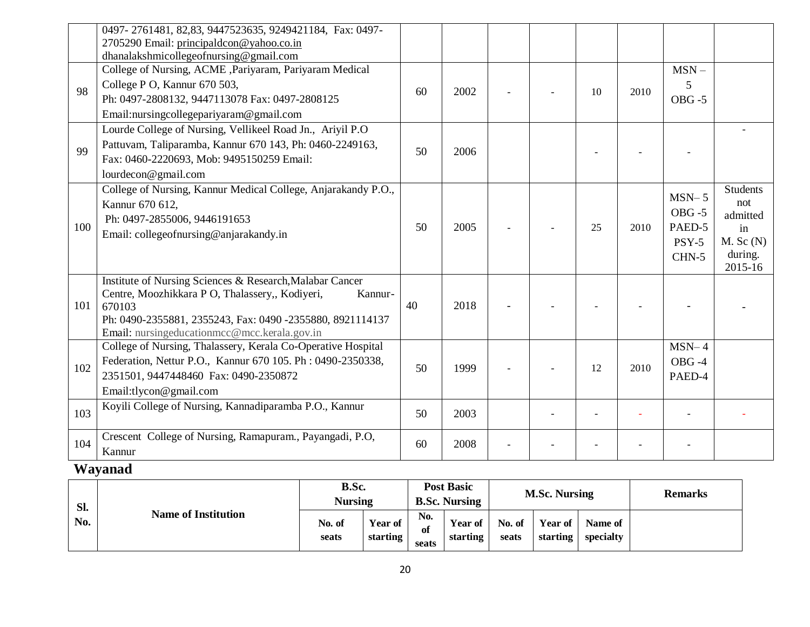|     | 0497-2761481, 82,83, 9447523635, 9249421184, Fax: 0497-<br>2705290 Email: principaldcon@yahoo.co.in<br>dhanalakshmicollegeofnursing@gmail.com                                                                                                 |    |      |  |    |      |                                                    |                                                                                 |
|-----|-----------------------------------------------------------------------------------------------------------------------------------------------------------------------------------------------------------------------------------------------|----|------|--|----|------|----------------------------------------------------|---------------------------------------------------------------------------------|
| 98  | College of Nursing, ACME , Pariyaram, Pariyaram Medical<br>College P O, Kannur 670 503,<br>Ph: 0497-2808132, 9447113078 Fax: 0497-2808125<br>Email:nursingcollegepariyaram@gmail.com                                                          | 60 | 2002 |  | 10 | 2010 | $MSN -$<br>5<br>$OBG - 5$                          |                                                                                 |
| 99  | Lourde College of Nursing, Vellikeel Road Jn., Ariyil P.O.<br>Pattuvam, Taliparamba, Kannur 670 143, Ph: 0460-2249163,<br>Fax: 0460-2220693, Mob: 9495150259 Email:<br>lourdecon@gmail.com                                                    | 50 | 2006 |  |    |      |                                                    |                                                                                 |
| 100 | College of Nursing, Kannur Medical College, Anjarakandy P.O.,<br>Kannur 670 612,<br>Ph: 0497-2855006, 9446191653<br>Email: collegeofnursing@anjarakandy.in                                                                                    | 50 | 2005 |  | 25 | 2010 | $MSN-5$<br>$OBG - 5$<br>PAED-5<br>$PSY-5$<br>CHN-5 | <b>Students</b><br>not<br>admitted<br>in<br>$M.$ Sc $(N)$<br>during.<br>2015-16 |
| 101 | Institute of Nursing Sciences & Research, Malabar Cancer<br>Centre, Moozhikkara P O, Thalassery,, Kodiyeri,<br>Kannur-<br>670103<br>Ph: 0490-2355881, 2355243, Fax: 0490 -2355880, 8921114137<br>Email: nursingeducationmcc@mcc.kerala.gov.in | 40 | 2018 |  |    |      |                                                    |                                                                                 |
| 102 | College of Nursing, Thalassery, Kerala Co-Operative Hospital<br>Federation, Nettur P.O., Kannur 670 105. Ph : 0490-2350338,<br>2351501, 9447448460 Fax: 0490-2350872<br>Email:tlycon@gmail.com                                                | 50 | 1999 |  | 12 | 2010 | $MSN-4$<br>OBG-4<br>PAED-4                         |                                                                                 |
| 103 | Koyili College of Nursing, Kannadiparamba P.O., Kannur                                                                                                                                                                                        | 50 | 2003 |  |    |      |                                                    |                                                                                 |
| 104 | Crescent College of Nursing, Ramapuram., Payangadi, P.O.<br>Kannur                                                                                                                                                                            | 60 | 2008 |  |    |      |                                                    |                                                                                 |

## **Wayanad**

| Sl. |                            | B.Sc.<br><b>Nursing</b> |                     | <b>Post Basic</b><br><b>B.Sc. Nursing</b> |                            | <b>M.Sc. Nursing</b> |                            |                      | <b>Remarks</b> |
|-----|----------------------------|-------------------------|---------------------|-------------------------------------------|----------------------------|----------------------|----------------------------|----------------------|----------------|
| No. | <b>Name of Institution</b> | No. of<br>seats         | Year of<br>starting | No.<br>ot<br>seats                        | <b>Year of</b><br>starting | No. of<br>seats      | <b>Year of</b><br>starting | Name of<br>specialty |                |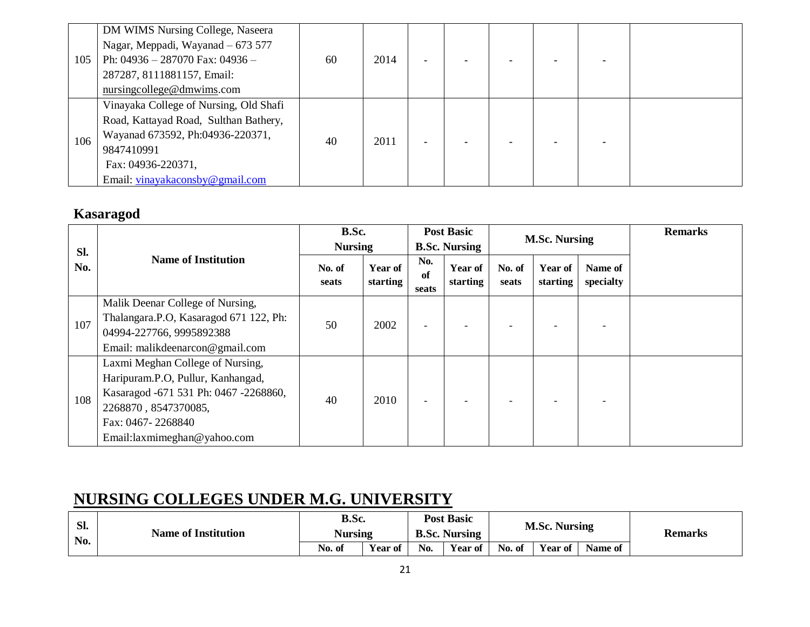|     | DM WIMS Nursing College, Naseera       |    |      |  |  |  |
|-----|----------------------------------------|----|------|--|--|--|
|     | Nagar, Meppadi, Wayanad – 673 577      |    |      |  |  |  |
| 105 | Ph: $04936 - 287070$ Fax: $04936 -$    | 60 | 2014 |  |  |  |
|     | 287287, 8111881157, Email:             |    |      |  |  |  |
|     | nursing college@dmwims.com             |    |      |  |  |  |
|     | Vinayaka College of Nursing, Old Shafi |    |      |  |  |  |
|     | Road, Kattayad Road, Sulthan Bathery,  |    |      |  |  |  |
|     | Wayanad 673592, Ph:04936-220371,       |    | 2011 |  |  |  |
| 106 | 9847410991                             | 40 |      |  |  |  |
|     | Fax: 04936-220371,                     |    |      |  |  |  |
|     | Email: vinayakaconsby@gmail.com        |    |      |  |  |  |

## **Kasaragod**

| Sl. |                                                                                                                                                                                            | B.Sc.<br><b>Nursing</b> |                            | <b>Post Basic</b><br><b>B.Sc. Nursing</b> |                     | <b>M.Sc. Nursing</b> |                     |                      | <b>Remarks</b> |
|-----|--------------------------------------------------------------------------------------------------------------------------------------------------------------------------------------------|-------------------------|----------------------------|-------------------------------------------|---------------------|----------------------|---------------------|----------------------|----------------|
| No. | <b>Name of Institution</b>                                                                                                                                                                 | No. of<br>seats         | <b>Year of</b><br>starting | No.<br>of<br>seats                        | Year of<br>starting | No. of<br>seats      | Year of<br>starting | Name of<br>specialty |                |
| 107 | Malik Deenar College of Nursing,<br>Thalangara.P.O, Kasaragod 671 122, Ph:<br>04994-227766, 9995892388<br>Email: malikdeenarcon@gmail.com                                                  | 50                      | 2002                       |                                           |                     |                      |                     |                      |                |
| 108 | Laxmi Meghan College of Nursing,<br>Haripuram.P.O, Pullur, Kanhangad,<br>Kasaragod -671 531 Ph: 0467 -2268860,<br>2268870, 8547370085,<br>Fax: 0467-2268840<br>Email:laxmimeghan@yahoo.com | 40                      | 2010                       |                                           |                     |                      |                     |                      |                |

## **NURSING COLLEGES UNDER M.G. UNIVERSITY**

| SI.<br>No. | <b>Name of Institution</b> | B.Sc.<br><b>Nursing</b> |                |     | <b>Post Basic</b><br><b>B.Sc. Nursing</b> |             | <b>M.Sc. Nursing</b> |         | <b>Remarks</b> |
|------------|----------------------------|-------------------------|----------------|-----|-------------------------------------------|-------------|----------------------|---------|----------------|
|            |                            | No. of                  | <b>Year of</b> | No. | <b>Year of</b>                            | No.<br>. of | <b>Year of</b>       | Name of |                |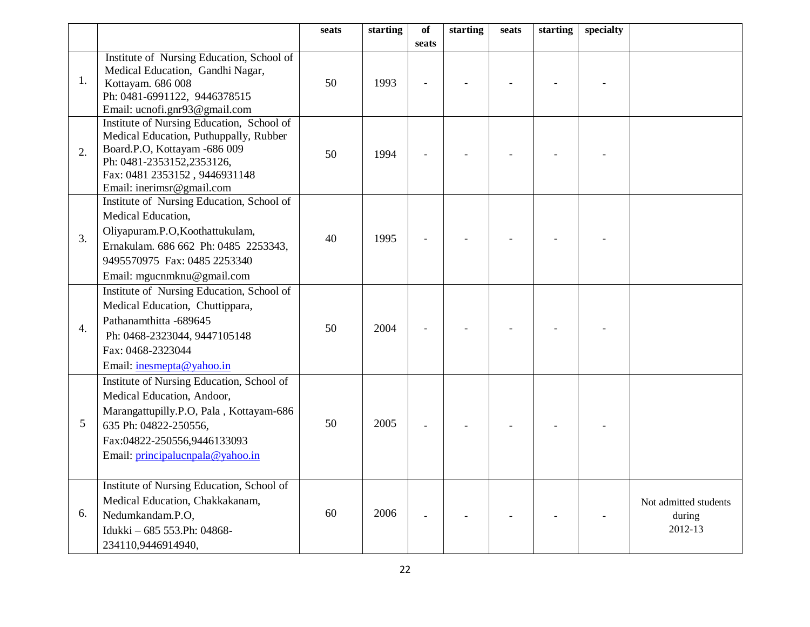|                  |                                                                                                                                                                                                                | seats | starting | of    | starting | seats | starting | specialty |                                            |
|------------------|----------------------------------------------------------------------------------------------------------------------------------------------------------------------------------------------------------------|-------|----------|-------|----------|-------|----------|-----------|--------------------------------------------|
|                  |                                                                                                                                                                                                                |       |          | seats |          |       |          |           |                                            |
| 1.               | Institute of Nursing Education, School of<br>Medical Education, Gandhi Nagar,<br>Kottayam. 686 008<br>Ph: 0481-6991122, 9446378515<br>Email: ucnofi.gnr93@gmail.com                                            | 50    | 1993     |       |          |       |          |           |                                            |
| 2.               | Institute of Nursing Education, School of<br>Medical Education, Puthuppally, Rubber<br>Board.P.O, Kottayam -686 009<br>Ph: 0481-2353152,2353126,<br>Fax: 0481 2353152, 9446931148<br>Email: inerimsr@gmail.com | 50    | 1994     |       |          |       |          |           |                                            |
| 3.               | Institute of Nursing Education, School of<br>Medical Education,<br>Oliyapuram.P.O,Koothattukulam,<br>Ernakulam. 686 662 Ph: 0485 2253343,<br>9495570975 Fax: 0485 2253340<br>Email: mgucnmknu@gmail.com        | 40    | 1995     |       |          |       |          |           |                                            |
| $\overline{4}$ . | Institute of Nursing Education, School of<br>Medical Education, Chuttippara,<br>Pathanamthitta -689645<br>Ph: 0468-2323044, 9447105148<br>Fax: 0468-2323044<br>Email: inesmepta@yahoo.in                       | 50    | 2004     |       |          |       |          |           |                                            |
| 5                | Institute of Nursing Education, School of<br>Medical Education, Andoor,<br>Marangattupilly.P.O, Pala, Kottayam-686<br>635 Ph: 04822-250556,<br>Fax:04822-250556,9446133093<br>Email: principalucnpala@yahoo.in | 50    | 2005     |       |          |       |          |           |                                            |
| 6.               | Institute of Nursing Education, School of<br>Medical Education, Chakkakanam,<br>Nedumkandam.P.O,<br>Idukki - 685 553.Ph: 04868-<br>234110,9446914940,                                                          | 60    | 2006     |       |          |       |          |           | Not admitted students<br>during<br>2012-13 |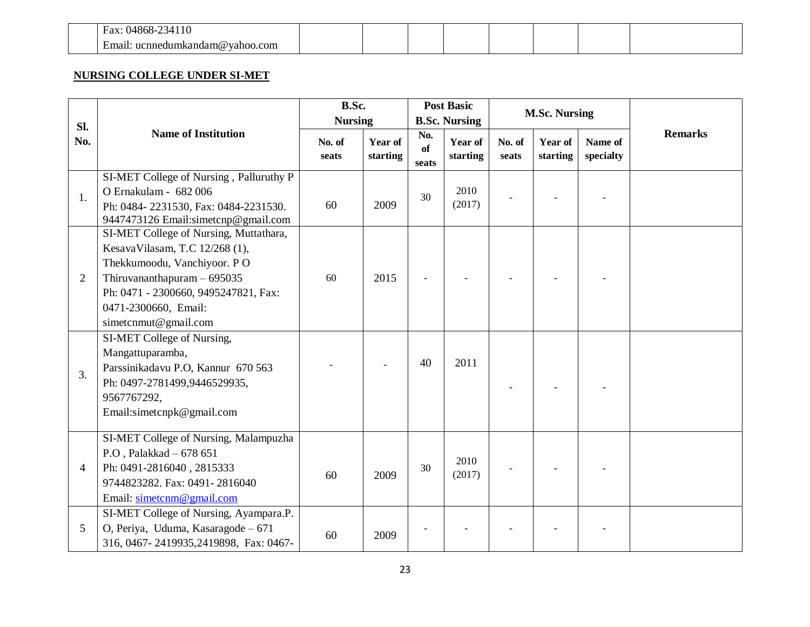| ۰ι<br>άΛ    |  |  |  |  |  |
|-------------|--|--|--|--|--|
| `OL<br>11 C |  |  |  |  |  |

#### **NURSING COLLEGE UNDER SI-MET**

| Sl.            |                                                                                                                                                                                                                                 | B.Sc.<br><b>Nursing</b> |                     |                    | <b>Post Basic</b><br><b>B.Sc. Nursing</b> |                 | <b>M.Sc. Nursing</b> |                      |                |
|----------------|---------------------------------------------------------------------------------------------------------------------------------------------------------------------------------------------------------------------------------|-------------------------|---------------------|--------------------|-------------------------------------------|-----------------|----------------------|----------------------|----------------|
| No.            | <b>Name of Institution</b>                                                                                                                                                                                                      | No. of<br>seats         | Year of<br>starting | No.<br>of<br>seats | Year of<br>starting                       | No. of<br>seats | Year of<br>starting  | Name of<br>specialty | <b>Remarks</b> |
| 1.             | SI-MET College of Nursing, Palluruthy P<br>O Ernakulam - 682 006<br>Ph: 0484-2231530, Fax: 0484-2231530.<br>9447473126 Email:simetcnp@gmail.com                                                                                 | 60                      | 2009                | 30                 | 2010<br>(2017)                            |                 |                      |                      |                |
| $\overline{2}$ | SI-MET College of Nursing, Muttathara,<br>KesavaVilasam, T.C 12/268 (1),<br>Thekkumoodu, Vanchiyoor. PO<br>Thiruvananthapuram $-695035$<br>Ph: 0471 - 2300660, 9495247821, Fax:<br>0471-2300660, Email:<br>simetcnmut@gmail.com | 60                      | 2015                |                    |                                           |                 |                      |                      |                |
| 3.             | SI-MET College of Nursing,<br>Mangattuparamba,<br>Parssinikadavu P.O, Kannur 670 563<br>Ph: 0497-2781499,9446529935,<br>9567767292,<br>Email:simetcnpk@gmail.com                                                                |                         |                     | 40                 | 2011                                      |                 |                      |                      |                |
| $\overline{4}$ | SI-MET College of Nursing, Malampuzha<br>P.O, Palakkad - 678 651<br>Ph: 0491-2816040, 2815333<br>9744823282. Fax: 0491-2816040<br>Email: simetcnm@gmail.com                                                                     | 60                      | 2009                | 30                 | 2010<br>(2017)                            |                 |                      |                      |                |
| 5              | SI-MET College of Nursing, Ayampara.P.<br>O, Periya, Uduma, Kasaragode - 671<br>316, 0467-2419935, 2419898, Fax: 0467-                                                                                                          | 60                      | 2009                |                    |                                           |                 |                      |                      |                |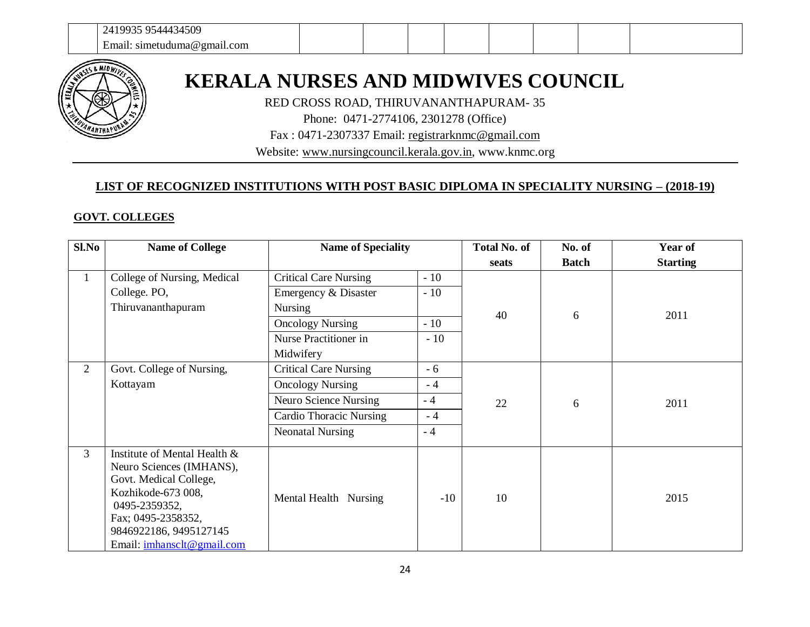

# **KERALA NURSES AND MIDWIVES COUNCIL**

RED CROSS ROAD, THIRUVANANTHAPURAM- 35

Phone: 0471-2774106, 2301278 (Office)

Fax : 0471-2307337 Email: [registrarknmc@gmail.com](mailto:registrarknmc@gmail.com)

Website: [www.nursingcouncil.kerala.gov.in,](http://www.keralanursingcouncil.org/) www.knmc.org

#### **LIST OF RECOGNIZED INSTITUTIONS WITH POST BASIC DIPLOMA IN SPECIALITY NURSING – (2018-19)**

#### **GOVT. COLLEGES**

| Sl.No          | <b>Name of College</b>                                                                                                                                                                                  | <b>Name of Speciality</b>      |       | <b>Total No. of</b> | No. of       | Year of         |
|----------------|---------------------------------------------------------------------------------------------------------------------------------------------------------------------------------------------------------|--------------------------------|-------|---------------------|--------------|-----------------|
|                |                                                                                                                                                                                                         |                                |       | seats               | <b>Batch</b> | <b>Starting</b> |
| $\mathbf{1}$   | College of Nursing, Medical                                                                                                                                                                             | <b>Critical Care Nursing</b>   | $-10$ |                     |              |                 |
|                | College. PO,                                                                                                                                                                                            | Emergency & Disaster           | $-10$ |                     |              |                 |
|                | Thiruvananthapuram                                                                                                                                                                                      | <b>Nursing</b>                 |       | 40                  | 6            | 2011            |
|                |                                                                                                                                                                                                         | <b>Oncology Nursing</b>        | $-10$ |                     |              |                 |
|                |                                                                                                                                                                                                         | Nurse Practitioner in          | $-10$ |                     |              |                 |
|                |                                                                                                                                                                                                         | Midwifery                      |       |                     |              |                 |
| $\overline{2}$ | Govt. College of Nursing,                                                                                                                                                                               | <b>Critical Care Nursing</b>   | $-6$  |                     |              |                 |
|                | Kottayam                                                                                                                                                                                                | <b>Oncology Nursing</b>        | $-4$  | 22                  |              |                 |
|                |                                                                                                                                                                                                         | Neuro Science Nursing          | $-4$  |                     | 6            | 2011            |
|                |                                                                                                                                                                                                         | <b>Cardio Thoracic Nursing</b> | $-4$  |                     |              |                 |
|                |                                                                                                                                                                                                         | <b>Neonatal Nursing</b>        | $-4$  |                     |              |                 |
| 3              | Institute of Mental Health &<br>Neuro Sciences (IMHANS),<br>Govt. Medical College,<br>Kozhikode-673 008,<br>0495-2359352,<br>Fax; 0495-2358352,<br>9846922186, 9495127145<br>Email: imhansclt@gmail.com | Mental Health Nursing          | $-10$ | 10                  |              | 2015            |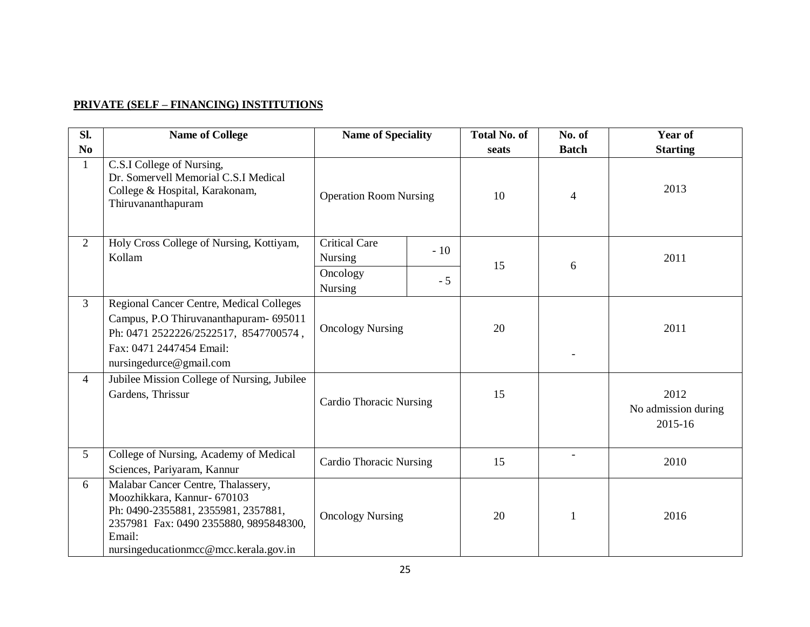#### **PRIVATE (SELF – FINANCING) INSTITUTIONS**

| Sl.            | <b>Name of College</b>                                                                                                                                                                                | <b>Name of Speciality</b>                       |      | <b>Total No. of</b> | No. of       | <b>Year of</b>                         |              |      |
|----------------|-------------------------------------------------------------------------------------------------------------------------------------------------------------------------------------------------------|-------------------------------------------------|------|---------------------|--------------|----------------------------------------|--------------|------|
| N <sub>0</sub> |                                                                                                                                                                                                       |                                                 |      | seats               | <b>Batch</b> | <b>Starting</b>                        |              |      |
| $\mathbf{1}$   | C.S.I College of Nursing,<br>Dr. Somervell Memorial C.S.I Medical<br>College & Hospital, Karakonam,<br>Thiruvananthapuram                                                                             | <b>Operation Room Nursing</b>                   |      | 10                  | 4            | 2013                                   |              |      |
| 2              | Holy Cross College of Nursing, Kottiyam,<br>Kollam                                                                                                                                                    | <b>Critical Care</b><br>$-10$<br><b>Nursing</b> |      | 15                  | 6            | 2011                                   |              |      |
|                |                                                                                                                                                                                                       | Oncology<br><b>Nursing</b>                      | $-5$ |                     |              |                                        |              |      |
| $\overline{3}$ | Regional Cancer Centre, Medical Colleges<br>Campus, P.O Thiruvananthapuram- 695011<br>Ph: 0471 2522226/2522517, 8547700574,<br>Fax: 0471 2447454 Email:<br>nursingedurce@gmail.com                    | <b>Oncology Nursing</b>                         |      | 20                  |              | 2011                                   |              |      |
| 4              | Jubilee Mission College of Nursing, Jubilee<br>Gardens, Thrissur                                                                                                                                      | <b>Cardio Thoracic Nursing</b>                  |      | 15                  |              | 2012<br>No admission during<br>2015-16 |              |      |
| 5              | College of Nursing, Academy of Medical<br>Sciences, Pariyaram, Kannur                                                                                                                                 | <b>Cardio Thoracic Nursing</b>                  |      | 15                  |              | 2010                                   |              |      |
| 6              | Malabar Cancer Centre, Thalassery,<br>Moozhikkara, Kannur- 670103<br>Ph: 0490-2355881, 2355981, 2357881,<br>2357981 Fax: 0490 2355880, 9895848300,<br>Email:<br>nursingeducationmcc@mcc.kerala.gov.in | <b>Oncology Nursing</b>                         |      |                     |              | 20                                     | $\mathbf{1}$ | 2016 |